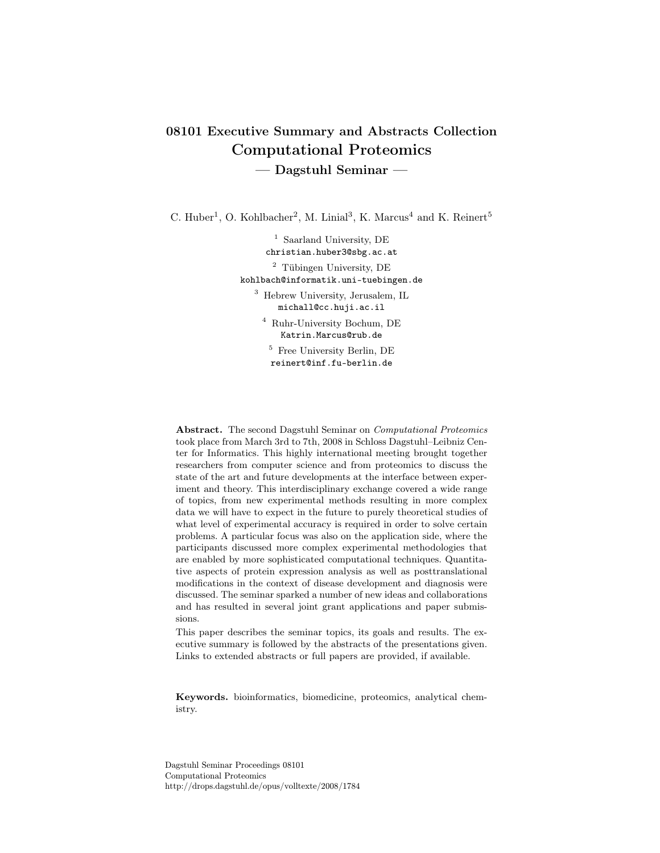# 08101 Executive Summary and Abstracts Collection Computational Proteomics — Dagstuhl Seminar —

C. Huber<sup>1</sup>, O. Kohlbacher<sup>2</sup>, M. Linial<sup>3</sup>, K. Marcus<sup>4</sup> and K. Reinert<sup>5</sup>

<sup>1</sup> Saarland University, DE christian.huber3@sbg.ac.at <sup>2</sup> Tübingen University, DE kohlbach@informatik.uni-tuebingen.de

<sup>3</sup> Hebrew University, Jerusalem, IL michall@cc.huji.ac.il

<sup>4</sup> Ruhr-University Bochum, DE Katrin.Marcus@rub.de

<sup>5</sup> Free University Berlin, DE reinert@inf.fu-berlin.de

Abstract. The second Dagstuhl Seminar on Computational Proteomics took place from March 3rd to 7th, 2008 in Schloss Dagstuhl–Leibniz Center for Informatics. This highly international meeting brought together researchers from computer science and from proteomics to discuss the state of the art and future developments at the interface between experiment and theory. This interdisciplinary exchange covered a wide range of topics, from new experimental methods resulting in more complex data we will have to expect in the future to purely theoretical studies of what level of experimental accuracy is required in order to solve certain problems. A particular focus was also on the application side, where the participants discussed more complex experimental methodologies that are enabled by more sophisticated computational techniques. Quantitative aspects of protein expression analysis as well as posttranslational modifications in the context of disease development and diagnosis were discussed. The seminar sparked a number of new ideas and collaborations and has resulted in several joint grant applications and paper submissions.

This paper describes the seminar topics, its goals and results. The executive summary is followed by the abstracts of the presentations given. Links to extended abstracts or full papers are provided, if available.

Keywords. bioinformatics, biomedicine, proteomics, analytical chemistry.

Dagstuhl Seminar Proceedings 08101 Computational Proteomics http://drops.dagstuhl.de/opus/volltexte/2008/1784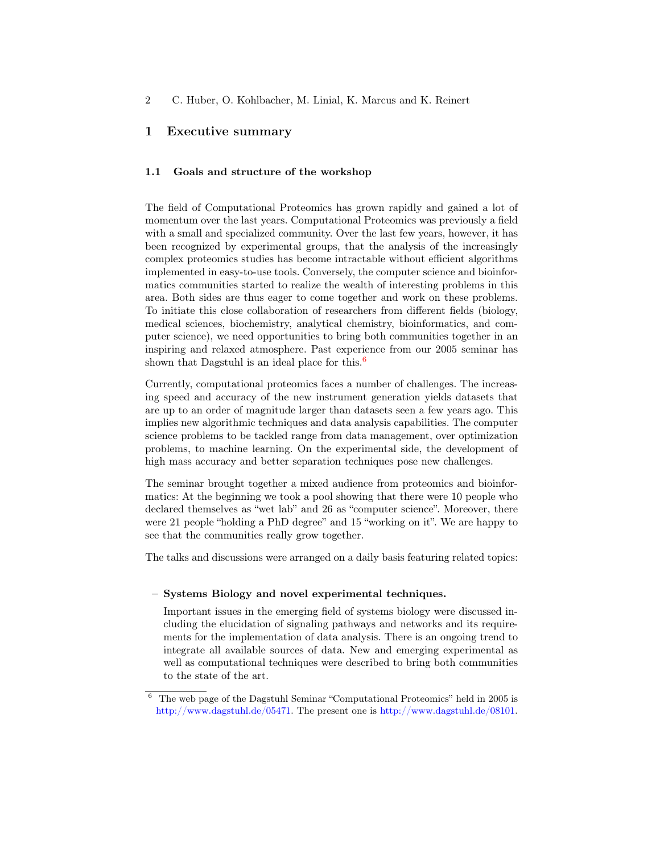# 1 Executive summary

### 1.1 Goals and structure of the workshop

The field of Computational Proteomics has grown rapidly and gained a lot of momentum over the last years. Computational Proteomics was previously a field with a small and specialized community. Over the last few years, however, it has been recognized by experimental groups, that the analysis of the increasingly complex proteomics studies has become intractable without efficient algorithms implemented in easy-to-use tools. Conversely, the computer science and bioinformatics communities started to realize the wealth of interesting problems in this area. Both sides are thus eager to come together and work on these problems. To initiate this close collaboration of researchers from different fields (biology, medical sciences, biochemistry, analytical chemistry, bioinformatics, and computer science), we need opportunities to bring both communities together in an inspiring and relaxed atmosphere. Past experience from our 2005 seminar has shown that Dagstuhl is an ideal place for this.<sup>[6](#page-1-0)</sup>

Currently, computational proteomics faces a number of challenges. The increasing speed and accuracy of the new instrument generation yields datasets that are up to an order of magnitude larger than datasets seen a few years ago. This implies new algorithmic techniques and data analysis capabilities. The computer science problems to be tackled range from data management, over optimization problems, to machine learning. On the experimental side, the development of high mass accuracy and better separation techniques pose new challenges.

The seminar brought together a mixed audience from proteomics and bioinformatics: At the beginning we took a pool showing that there were 10 people who declared themselves as "wet lab" and 26 as "computer science". Moreover, there were 21 people "holding a PhD degree" and 15 "working on it". We are happy to see that the communities really grow together.

The talks and discussions were arranged on a daily basis featuring related topics:

#### – Systems Biology and novel experimental techniques.

Important issues in the emerging field of systems biology were discussed including the elucidation of signaling pathways and networks and its requirements for the implementation of data analysis. There is an ongoing trend to integrate all available sources of data. New and emerging experimental as well as computational techniques were described to bring both communities to the state of the art.

<span id="page-1-0"></span> $6$  The web page of the Dagstuhl Seminar "Computational Proteomics" held in 2005 is [http://www.dagstuhl.de/05471.](http://www.dagstuhl.de/05471) The present one is [http://www.dagstuhl.de/08101.](http://www.dagstuhl.de/08101)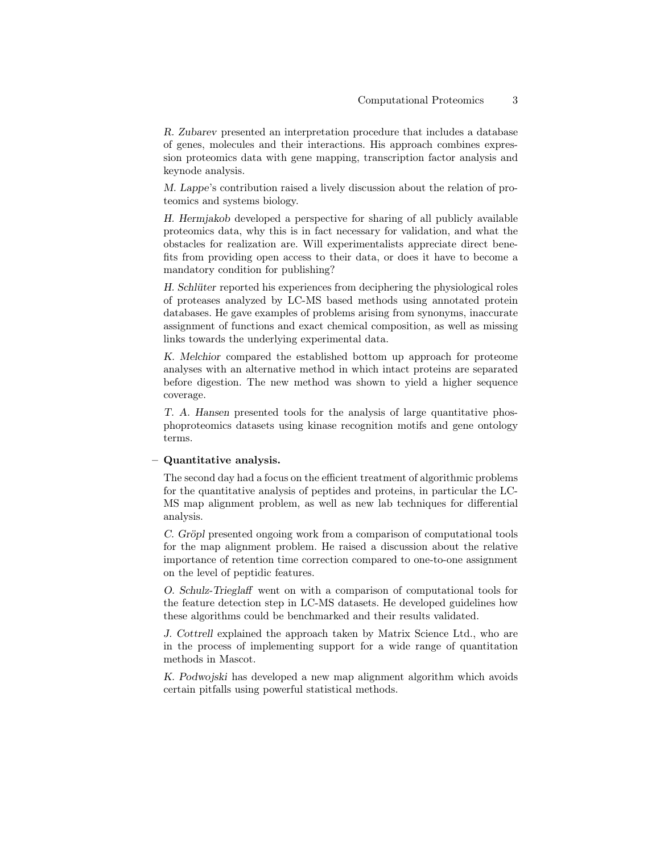R. Zubarev presented an interpretation procedure that includes a database of genes, molecules and their interactions. His approach combines expression proteomics data with gene mapping, transcription factor analysis and keynode analysis.

M. Lappe's contribution raised a lively discussion about the relation of proteomics and systems biology.

H. Hermjakob developed a perspective for sharing of all publicly available proteomics data, why this is in fact necessary for validation, and what the obstacles for realization are. Will experimentalists appreciate direct benefits from providing open access to their data, or does it have to become a mandatory condition for publishing?

H. Schlüter reported his experiences from deciphering the physiological roles of proteases analyzed by LC-MS based methods using annotated protein databases. He gave examples of problems arising from synonyms, inaccurate assignment of functions and exact chemical composition, as well as missing links towards the underlying experimental data.

K. Melchior compared the established bottom up approach for proteome analyses with an alternative method in which intact proteins are separated before digestion. The new method was shown to yield a higher sequence coverage.

T. A. Hansen presented tools for the analysis of large quantitative phosphoproteomics datasets using kinase recognition motifs and gene ontology terms.

### – Quantitative analysis.

The second day had a focus on the efficient treatment of algorithmic problems for the quantitative analysis of peptides and proteins, in particular the LC-MS map alignment problem, as well as new lab techniques for differential analysis.

C. Gröpl presented ongoing work from a comparison of computational tools for the map alignment problem. He raised a discussion about the relative importance of retention time correction compared to one-to-one assignment on the level of peptidic features.

O. Schulz-Trieglaff went on with a comparison of computational tools for the feature detection step in LC-MS datasets. He developed guidelines how these algorithms could be benchmarked and their results validated.

J. Cottrell explained the approach taken by Matrix Science Ltd., who are in the process of implementing support for a wide range of quantitation methods in Mascot.

K. Podwojski has developed a new map alignment algorithm which avoids certain pitfalls using powerful statistical methods.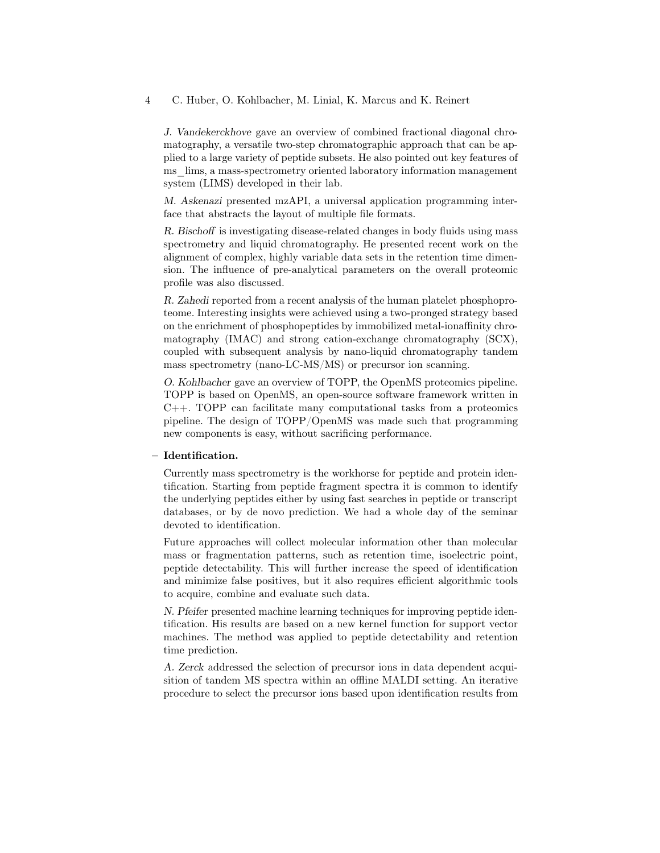J. Vandekerckhove gave an overview of combined fractional diagonal chromatography, a versatile two-step chromatographic approach that can be applied to a large variety of peptide subsets. He also pointed out key features of ms  $\lim_{n \to \infty}$  ims, a mass-spectrometry oriented laboratory information management system (LIMS) developed in their lab.

M. Askenazi presented mzAPI, a universal application programming interface that abstracts the layout of multiple file formats.

R. Bischoff is investigating disease-related changes in body fluids using mass spectrometry and liquid chromatography. He presented recent work on the alignment of complex, highly variable data sets in the retention time dimension. The influence of pre-analytical parameters on the overall proteomic profile was also discussed.

R. Zahedi reported from a recent analysis of the human platelet phosphoproteome. Interesting insights were achieved using a two-pronged strategy based on the enrichment of phosphopeptides by immobilized metal-ionaffinity chromatography (IMAC) and strong cation-exchange chromatography (SCX), coupled with subsequent analysis by nano-liquid chromatography tandem mass spectrometry (nano-LC-MS/MS) or precursor ion scanning.

O. Kohlbacher gave an overview of TOPP, the OpenMS proteomics pipeline. TOPP is based on OpenMS, an open-source software framework written in C++. TOPP can facilitate many computational tasks from a proteomics pipeline. The design of TOPP/OpenMS was made such that programming new components is easy, without sacrificing performance.

#### – Identification.

Currently mass spectrometry is the workhorse for peptide and protein identification. Starting from peptide fragment spectra it is common to identify the underlying peptides either by using fast searches in peptide or transcript databases, or by de novo prediction. We had a whole day of the seminar devoted to identification.

Future approaches will collect molecular information other than molecular mass or fragmentation patterns, such as retention time, isoelectric point, peptide detectability. This will further increase the speed of identification and minimize false positives, but it also requires efficient algorithmic tools to acquire, combine and evaluate such data.

N. Pfeifer presented machine learning techniques for improving peptide identification. His results are based on a new kernel function for support vector machines. The method was applied to peptide detectability and retention time prediction.

A. Zerck addressed the selection of precursor ions in data dependent acquisition of tandem MS spectra within an offline MALDI setting. An iterative procedure to select the precursor ions based upon identification results from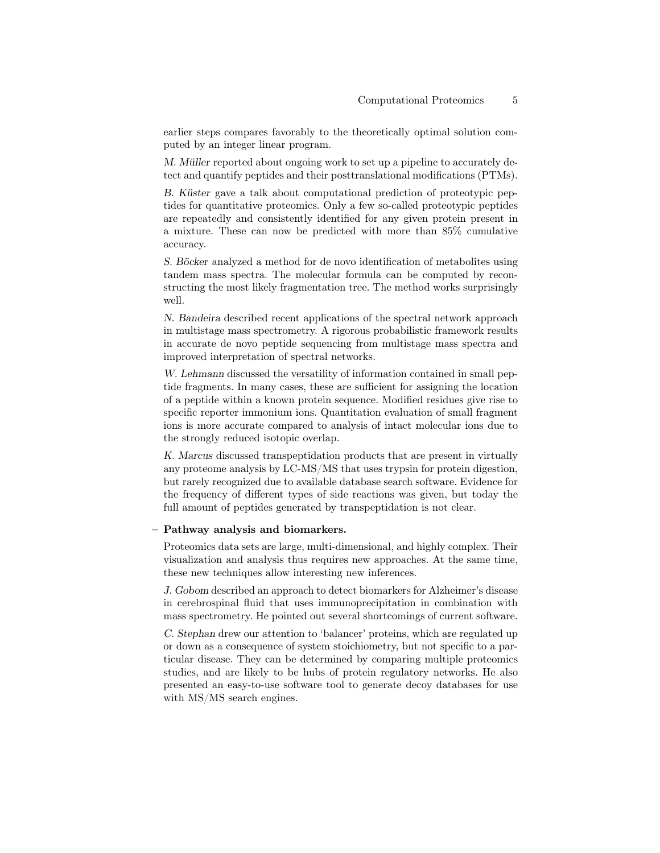earlier steps compares favorably to the theoretically optimal solution computed by an integer linear program.

M. Müller reported about ongoing work to set up a pipeline to accurately detect and quantify peptides and their posttranslational modifications (PTMs).

B. Küster gave a talk about computational prediction of proteotypic peptides for quantitative proteomics. Only a few so-called proteotypic peptides are repeatedly and consistently identified for any given protein present in a mixture. These can now be predicted with more than 85% cumulative accuracy.

S. Böcker analyzed a method for de novo identification of metabolites using tandem mass spectra. The molecular formula can be computed by reconstructing the most likely fragmentation tree. The method works surprisingly well.

N. Bandeira described recent applications of the spectral network approach in multistage mass spectrometry. A rigorous probabilistic framework results in accurate de novo peptide sequencing from multistage mass spectra and improved interpretation of spectral networks.

W. Lehmann discussed the versatility of information contained in small peptide fragments. In many cases, these are sufficient for assigning the location of a peptide within a known protein sequence. Modified residues give rise to specific reporter immonium ions. Quantitation evaluation of small fragment ions is more accurate compared to analysis of intact molecular ions due to the strongly reduced isotopic overlap.

K. Marcus discussed transpeptidation products that are present in virtually any proteome analysis by LC-MS/MS that uses trypsin for protein digestion, but rarely recognized due to available database search software. Evidence for the frequency of different types of side reactions was given, but today the full amount of peptides generated by transpeptidation is not clear.

#### – Pathway analysis and biomarkers.

Proteomics data sets are large, multi-dimensional, and highly complex. Their visualization and analysis thus requires new approaches. At the same time, these new techniques allow interesting new inferences.

J. Gobom described an approach to detect biomarkers for Alzheimer's disease in cerebrospinal fluid that uses immunoprecipitation in combination with mass spectrometry. He pointed out several shortcomings of current software.

C. Stephan drew our attention to 'balancer' proteins, which are regulated up or down as a consequence of system stoichiometry, but not specific to a particular disease. They can be determined by comparing multiple proteomics studies, and are likely to be hubs of protein regulatory networks. He also presented an easy-to-use software tool to generate decoy databases for use with MS/MS search engines.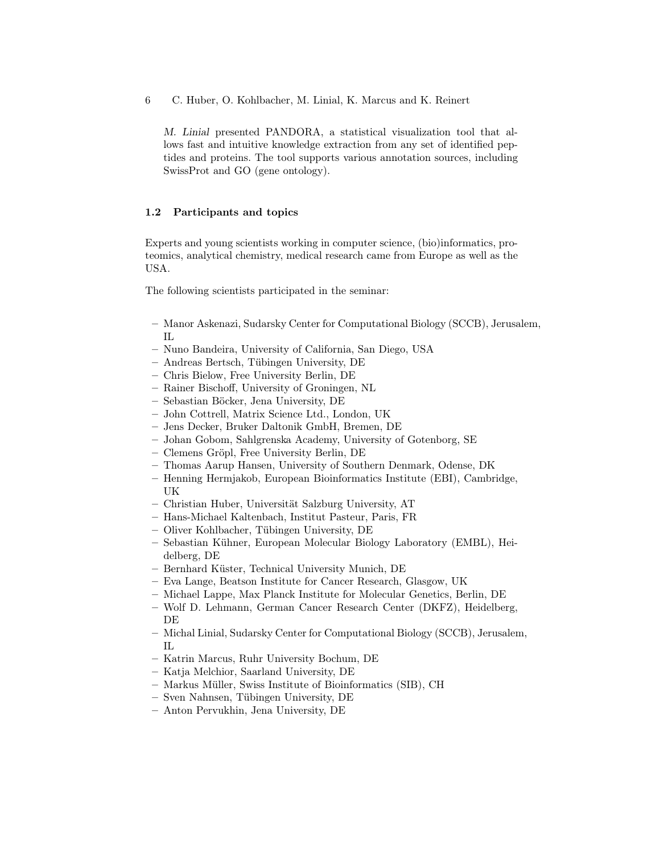M. Linial presented PANDORA, a statistical visualization tool that allows fast and intuitive knowledge extraction from any set of identified peptides and proteins. The tool supports various annotation sources, including SwissProt and GO (gene ontology).

### 1.2 Participants and topics

Experts and young scientists working in computer science, (bio)informatics, proteomics, analytical chemistry, medical research came from Europe as well as the USA.

The following scientists participated in the seminar:

- Manor Askenazi, Sudarsky Center for Computational Biology (SCCB), Jerusalem, IL
- Nuno Bandeira, University of California, San Diego, USA
- Andreas Bertsch, Tübingen University, DE
- Chris Bielow, Free University Berlin, DE
- Rainer Bischoff, University of Groningen, NL
- Sebastian Böcker, Jena University, DE
- John Cottrell, Matrix Science Ltd., London, UK
- Jens Decker, Bruker Daltonik GmbH, Bremen, DE
- Johan Gobom, Sahlgrenska Academy, University of Gotenborg, SE
- Clemens Gröpl, Free University Berlin, DE
- Thomas Aarup Hansen, University of Southern Denmark, Odense, DK
- Henning Hermjakob, European Bioinformatics Institute (EBI), Cambridge, UK
- Christian Huber, Universität Salzburg University, AT
- Hans-Michael Kaltenbach, Institut Pasteur, Paris, FR
- Oliver Kohlbacher, Tübingen University, DE
- Sebastian Kühner, European Molecular Biology Laboratory (EMBL), Heidelberg, DE
- Bernhard Küster, Technical University Munich, DE
- Eva Lange, Beatson Institute for Cancer Research, Glasgow, UK
- Michael Lappe, Max Planck Institute for Molecular Genetics, Berlin, DE
- Wolf D. Lehmann, German Cancer Research Center (DKFZ), Heidelberg, DE
- Michal Linial, Sudarsky Center for Computational Biology (SCCB), Jerusalem, IL
- Katrin Marcus, Ruhr University Bochum, DE
- Katja Melchior, Saarland University, DE
- Markus Müller, Swiss Institute of Bioinformatics (SIB), CH
- Sven Nahnsen, Tübingen University, DE
- Anton Pervukhin, Jena University, DE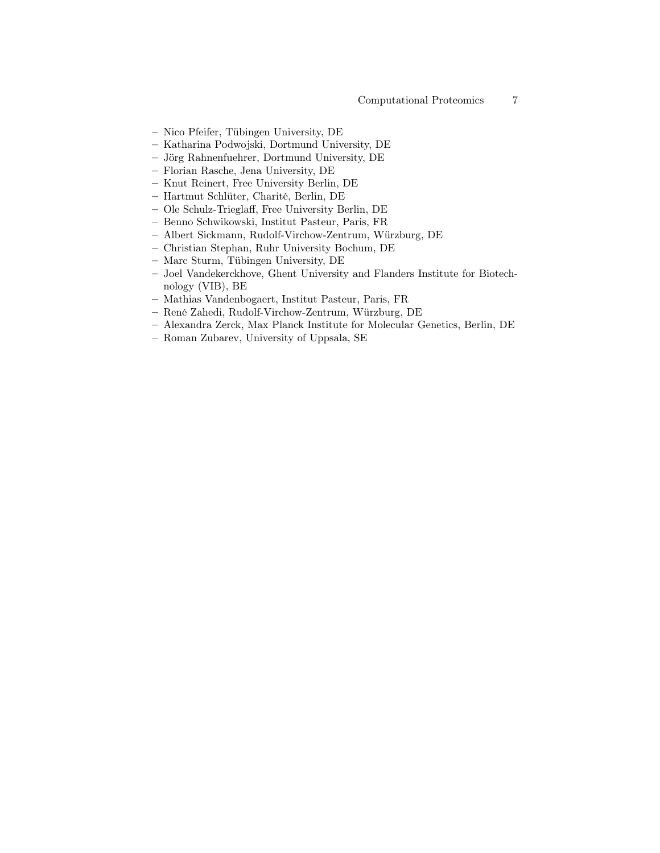- Nico Pfeifer, Tübingen University, DE
- Katharina Podwojski, Dortmund University, DE
- Jörg Rahnenfuehrer, Dortmund University, DE
- Florian Rasche, Jena University, DE
- Knut Reinert, Free University Berlin, DE
- Hartmut Schlüter, Charité, Berlin, DE
- Ole Schulz-Trieglaff, Free University Berlin, DE
- Benno Schwikowski, Institut Pasteur, Paris, FR
- Albert Sickmann, Rudolf-Virchow-Zentrum, Würzburg, DE
- Christian Stephan, Ruhr University Bochum, DE
- Marc Sturm, Tübingen University, DE
- Joel Vandekerckhove, Ghent University and Flanders Institute for Biotechnology (VIB), BE
- Mathias Vandenbogaert, Institut Pasteur, Paris, FR
- René Zahedi, Rudolf-Virchow-Zentrum, Würzburg, DE
- Alexandra Zerck, Max Planck Institute for Molecular Genetics, Berlin, DE
- Roman Zubarev, University of Uppsala, SE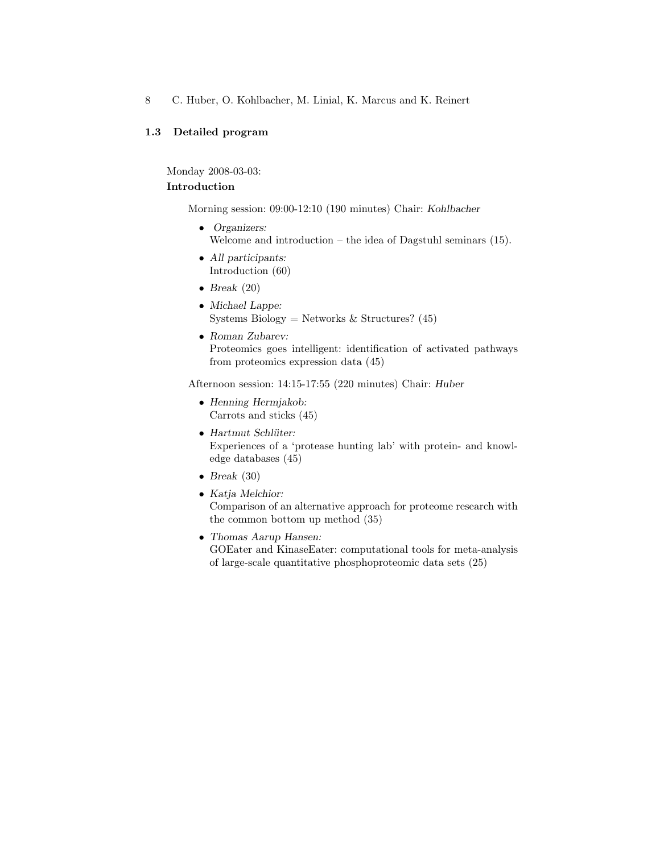# 1.3 Detailed program

Monday 2008-03-03:

### Introduction

Morning session: 09:00-12:10 (190 minutes) Chair: Kohlbacher

- Organizers: Welcome and introduction – the idea of Dagstuhl seminars  $(15)$ .
- All participants: Introduction (60)
- Break  $(20)$
- Michael Lappe: Systems Biology = Networks & Structures?  $(45)$
- Roman Zubarev: Proteomics goes intelligent: identification of activated pathways from proteomics expression data (45)

Afternoon session: 14:15-17:55 (220 minutes) Chair: Huber

- Henning Hermjakob: Carrots and sticks (45)
- Hartmut Schlüter: Experiences of a 'protease hunting lab' with protein- and knowledge databases (45)
- Break  $(30)$
- Katja Melchior: Comparison of an alternative approach for proteome research with the common bottom up method (35)
- Thomas Aarup Hansen: GOEater and KinaseEater: computational tools for meta-analysis of large-scale quantitative phosphoproteomic data sets (25)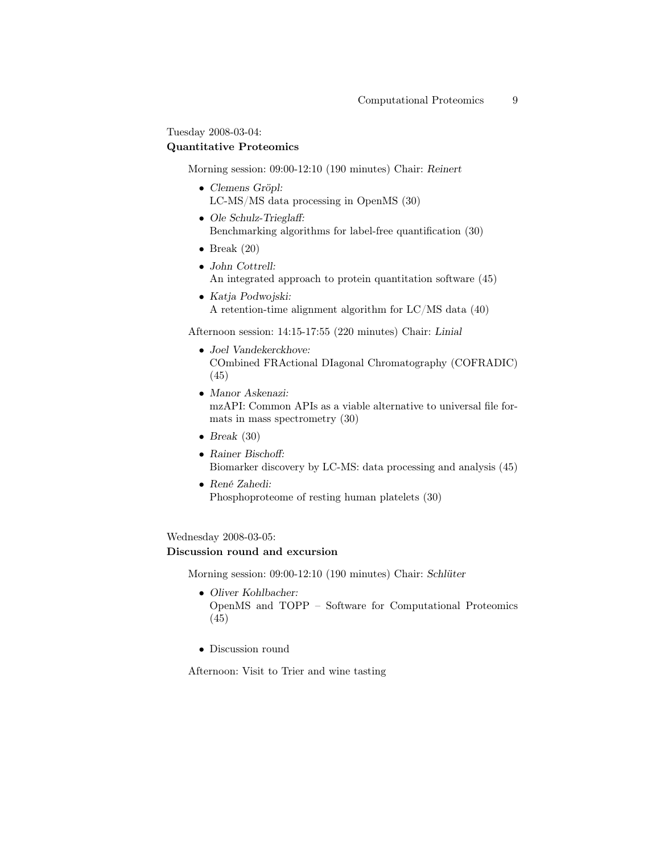Tuesday 2008-03-04:

# Quantitative Proteomics

Morning session: 09:00-12:10 (190 minutes) Chair: Reinert

- Clemens Gröpl: LC-MS/MS data processing in OpenMS (30)
- Ole Schulz-Trieglaff: Benchmarking algorithms for label-free quantification (30)
- Break  $(20)$
- John Cottrell: An integrated approach to protein quantitation software (45)
- Katja Podwojski: A retention-time alignment algorithm for LC/MS data (40)

Afternoon session: 14:15-17:55 (220 minutes) Chair: Linial

- Joel Vandekerckhove: COmbined FRActional DIagonal Chromatography (COFRADIC) (45)
- Manor Askenazi: mzAPI: Common APIs as a viable alternative to universal file formats in mass spectrometry (30)
- Break  $(30)$
- Rainer Bischoff: Biomarker discovery by LC-MS: data processing and analysis (45)
- René Zahedi: Phosphoproteome of resting human platelets (30)

Wednesday 2008-03-05:

# Discussion round and excursion

Morning session: 09:00-12:10 (190 minutes) Chair: Schlüter

- Oliver Kohlbacher: OpenMS and TOPP – Software for Computational Proteomics (45)
- Discussion round

Afternoon: Visit to Trier and wine tasting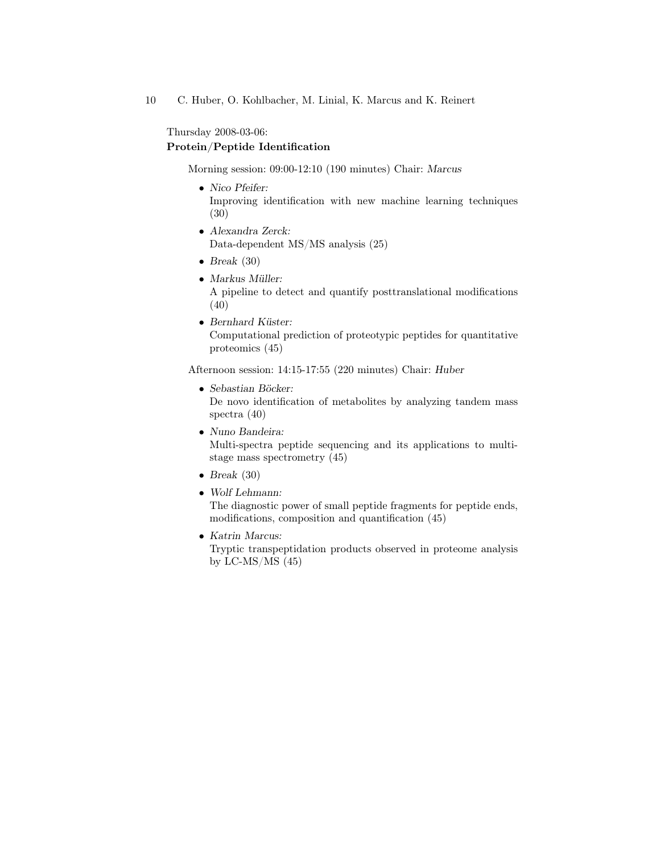Thursday 2008-03-06:

### Protein/Peptide Identification

Morning session: 09:00-12:10 (190 minutes) Chair: Marcus

- Nico Pfeifer: Improving identification with new machine learning techniques (30)
- Alexandra Zerck: Data-dependent MS/MS analysis (25)
- Break  $(30)$
- Markus Müller: A pipeline to detect and quantify posttranslational modifications (40)
- Bernhard Küster: Computational prediction of proteotypic peptides for quantitative proteomics (45)

Afternoon session: 14:15-17:55 (220 minutes) Chair: Huber

- Sebastian Böcker: De novo identification of metabolites by analyzing tandem mass spectra (40)
- Nuno Bandeira: Multi-spectra peptide sequencing and its applications to multistage mass spectrometry (45)
- Break  $(30)$
- Wolf Lehmann:

The diagnostic power of small peptide fragments for peptide ends, modifications, composition and quantification (45)

• Katrin Marcus:

Tryptic transpeptidation products observed in proteome analysis by LC-MS/MS (45)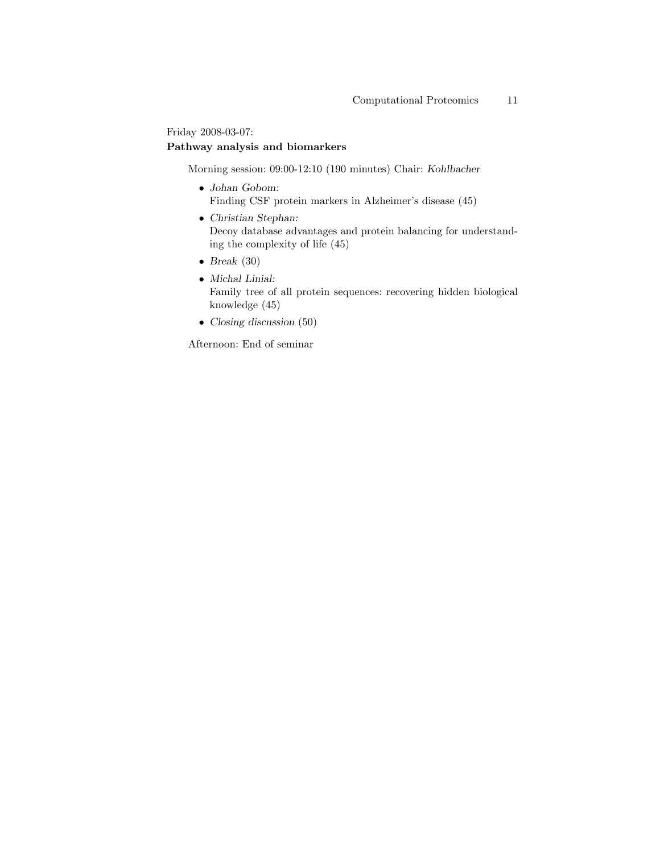Friday 2008-03-07:

# Pathway analysis and biomarkers

Morning session: 09:00-12:10 (190 minutes) Chair: Kohlbacher

- $\bullet\,$  Johan Gobom: Finding CSF protein markers in Alzheimer's disease (45)
- Christian Stephan: Decoy database advantages and protein balancing for understanding the complexity of life (45)
- Break  $(30)$
- Michal Linial: Family tree of all protein sequences: recovering hidden biological knowledge (45)
- Closing discussion (50)

Afternoon: End of seminar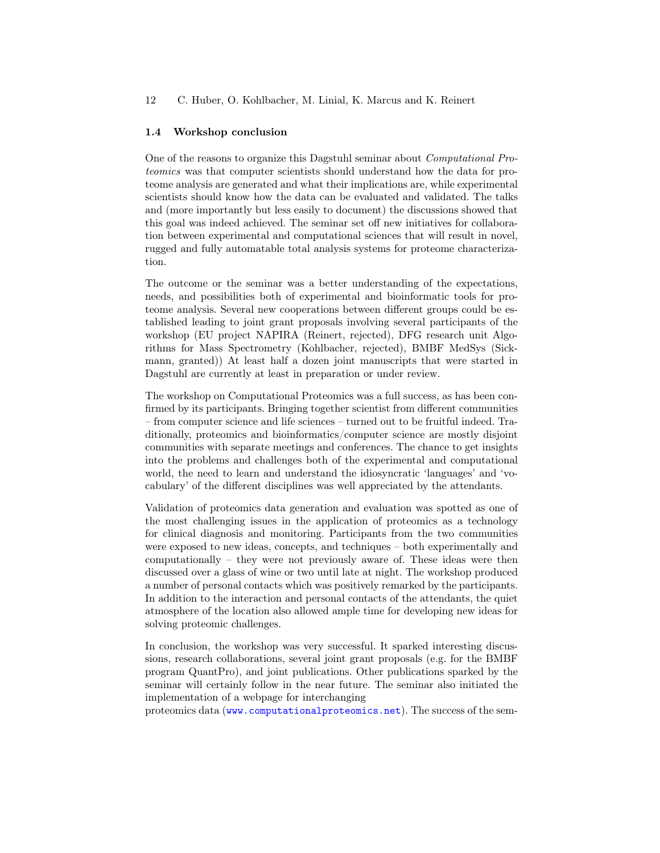#### 1.4 Workshop conclusion

One of the reasons to organize this Dagstuhl seminar about Computational Proteomics was that computer scientists should understand how the data for proteome analysis are generated and what their implications are, while experimental scientists should know how the data can be evaluated and validated. The talks and (more importantly but less easily to document) the discussions showed that this goal was indeed achieved. The seminar set off new initiatives for collaboration between experimental and computational sciences that will result in novel, rugged and fully automatable total analysis systems for proteome characterization.

The outcome or the seminar was a better understanding of the expectations, needs, and possibilities both of experimental and bioinformatic tools for proteome analysis. Several new cooperations between different groups could be established leading to joint grant proposals involving several participants of the workshop (EU project NAPIRA (Reinert, rejected), DFG research unit Algorithms for Mass Spectrometry (Kohlbacher, rejected), BMBF MedSys (Sickmann, granted)) At least half a dozen joint manuscripts that were started in Dagstuhl are currently at least in preparation or under review.

The workshop on Computational Proteomics was a full success, as has been confirmed by its participants. Bringing together scientist from different communities – from computer science and life sciences – turned out to be fruitful indeed. Traditionally, proteomics and bioinformatics/computer science are mostly disjoint communities with separate meetings and conferences. The chance to get insights into the problems and challenges both of the experimental and computational world, the need to learn and understand the idiosyncratic 'languages' and 'vocabulary' of the different disciplines was well appreciated by the attendants.

Validation of proteomics data generation and evaluation was spotted as one of the most challenging issues in the application of proteomics as a technology for clinical diagnosis and monitoring. Participants from the two communities were exposed to new ideas, concepts, and techniques – both experimentally and computationally – they were not previously aware of. These ideas were then discussed over a glass of wine or two until late at night. The workshop produced a number of personal contacts which was positively remarked by the participants. In addition to the interaction and personal contacts of the attendants, the quiet atmosphere of the location also allowed ample time for developing new ideas for solving proteomic challenges.

In conclusion, the workshop was very successful. It sparked interesting discussions, research collaborations, several joint grant proposals (e.g. for the BMBF program QuantPro), and joint publications. Other publications sparked by the seminar will certainly follow in the near future. The seminar also initiated the implementation of a webpage for interchanging

proteomics data (<www.computationalproteomics.net>). The success of the sem-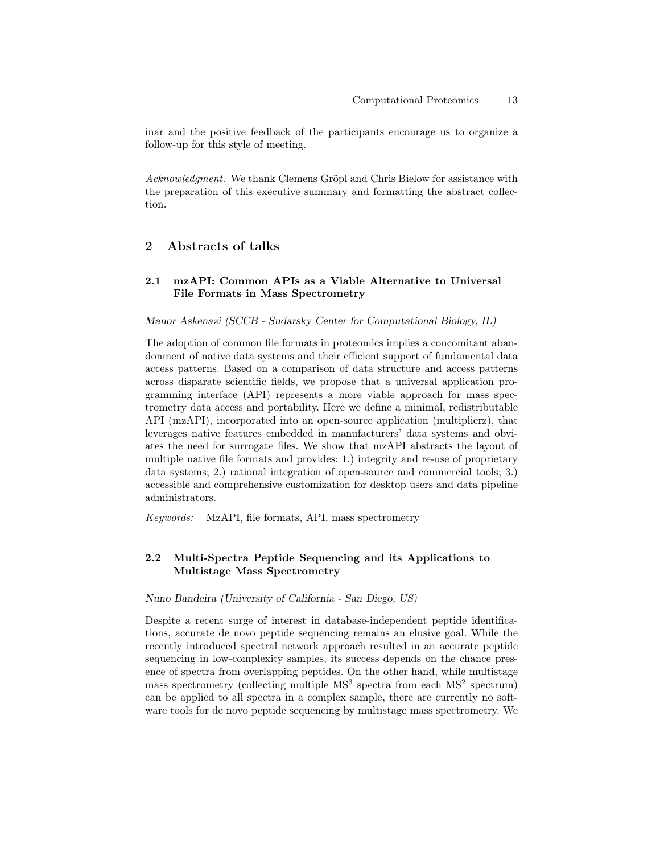inar and the positive feedback of the participants encourage us to organize a follow-up for this style of meeting.

Acknowledgment. We thank Clemens Gröpl and Chris Bielow for assistance with the preparation of this executive summary and formatting the abstract collection.

# 2 Abstracts of talks

# 2.1 mzAPI: Common APIs as a Viable Alternative to Universal File Formats in Mass Spectrometry

#### Manor Askenazi (SCCB - Sudarsky Center for Computational Biology, IL)

The adoption of common file formats in proteomics implies a concomitant abandonment of native data systems and their efficient support of fundamental data access patterns. Based on a comparison of data structure and access patterns across disparate scientific fields, we propose that a universal application programming interface (API) represents a more viable approach for mass spectrometry data access and portability. Here we define a minimal, redistributable API (mzAPI), incorporated into an open-source application (multiplierz), that leverages native features embedded in manufacturers' data systems and obviates the need for surrogate files. We show that mzAPI abstracts the layout of multiple native file formats and provides: 1.) integrity and re-use of proprietary data systems; 2.) rational integration of open-source and commercial tools; 3.) accessible and comprehensive customization for desktop users and data pipeline administrators.

Keywords: MzAPI, file formats, API, mass spectrometry

# 2.2 Multi-Spectra Peptide Sequencing and its Applications to Multistage Mass Spectrometry

#### Nuno Bandeira (University of California - San Diego, US)

Despite a recent surge of interest in database-independent peptide identifications, accurate de novo peptide sequencing remains an elusive goal. While the recently introduced spectral network approach resulted in an accurate peptide sequencing in low-complexity samples, its success depends on the chance presence of spectra from overlapping peptides. On the other hand, while multistage mass spectrometry (collecting multiple  $MS<sup>3</sup>$  spectra from each  $MS<sup>2</sup>$  spectrum) can be applied to all spectra in a complex sample, there are currently no software tools for de novo peptide sequencing by multistage mass spectrometry. We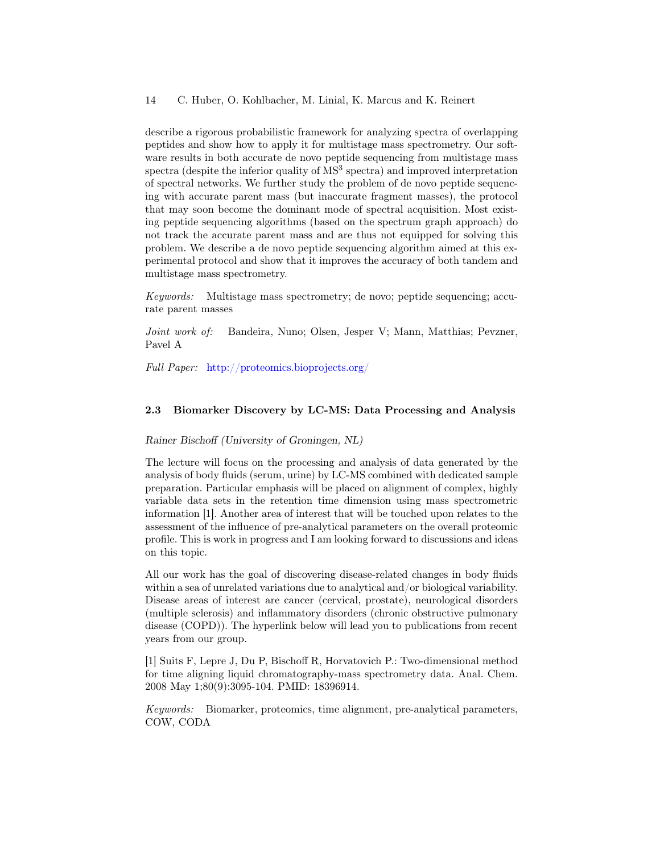describe a rigorous probabilistic framework for analyzing spectra of overlapping peptides and show how to apply it for multistage mass spectrometry. Our software results in both accurate de novo peptide sequencing from multistage mass spectra (despite the inferior quality of  $MS<sup>3</sup>$  spectra) and improved interpretation of spectral networks. We further study the problem of de novo peptide sequencing with accurate parent mass (but inaccurate fragment masses), the protocol that may soon become the dominant mode of spectral acquisition. Most existing peptide sequencing algorithms (based on the spectrum graph approach) do not track the accurate parent mass and are thus not equipped for solving this problem. We describe a de novo peptide sequencing algorithm aimed at this experimental protocol and show that it improves the accuracy of both tandem and multistage mass spectrometry.

Keywords: Multistage mass spectrometry; de novo; peptide sequencing; accurate parent masses

Joint work of: Bandeira, Nuno; Olsen, Jesper V; Mann, Matthias; Pevzner, Pavel A

Full Paper: <http://proteomics.bioprojects.org/>

### 2.3 Biomarker Discovery by LC-MS: Data Processing and Analysis

Rainer Bischoff (University of Groningen, NL)

The lecture will focus on the processing and analysis of data generated by the analysis of body fluids (serum, urine) by LC-MS combined with dedicated sample preparation. Particular emphasis will be placed on alignment of complex, highly variable data sets in the retention time dimension using mass spectrometric information [1]. Another area of interest that will be touched upon relates to the assessment of the influence of pre-analytical parameters on the overall proteomic profile. This is work in progress and I am looking forward to discussions and ideas on this topic.

All our work has the goal of discovering disease-related changes in body fluids within a sea of unrelated variations due to analytical and/or biological variability. Disease areas of interest are cancer (cervical, prostate), neurological disorders (multiple sclerosis) and inflammatory disorders (chronic obstructive pulmonary disease (COPD)). The hyperlink below will lead you to publications from recent years from our group.

[1] Suits F, Lepre J, Du P, Bischoff R, Horvatovich P.: Two-dimensional method for time aligning liquid chromatography-mass spectrometry data. Anal. Chem. 2008 May 1;80(9):3095-104. PMID: 18396914.

Keywords: Biomarker, proteomics, time alignment, pre-analytical parameters, COW, CODA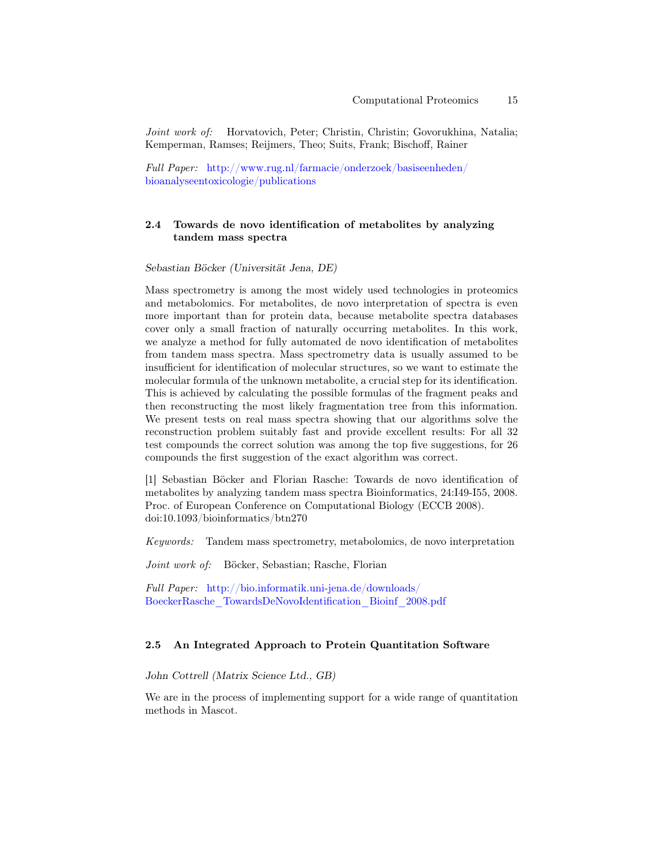Joint work of: Horvatovich, Peter; Christin, Christin; Govorukhina, Natalia; Kemperman, Ramses; Reijmers, Theo; Suits, Frank; Bischoff, Rainer

Full Paper: [http://www.rug.nl/farmacie/onderzoek/basiseenheden/](http://www.rug.nl/farmacie/onderzoek/basiseenheden/\bioanalyseentoxicologie/publications) [bioanalyseentoxicologie/publications](http://www.rug.nl/farmacie/onderzoek/basiseenheden/\bioanalyseentoxicologie/publications)

### 2.4 Towards de novo identification of metabolites by analyzing tandem mass spectra

Sebastian Böcker (Universität Jena, DE)

Mass spectrometry is among the most widely used technologies in proteomics and metabolomics. For metabolites, de novo interpretation of spectra is even more important than for protein data, because metabolite spectra databases cover only a small fraction of naturally occurring metabolites. In this work, we analyze a method for fully automated de novo identification of metabolites from tandem mass spectra. Mass spectrometry data is usually assumed to be insufficient for identification of molecular structures, so we want to estimate the molecular formula of the unknown metabolite, a crucial step for its identification. This is achieved by calculating the possible formulas of the fragment peaks and then reconstructing the most likely fragmentation tree from this information. We present tests on real mass spectra showing that our algorithms solve the reconstruction problem suitably fast and provide excellent results: For all 32 test compounds the correct solution was among the top five suggestions, for 26 compounds the first suggestion of the exact algorithm was correct.

[1] Sebastian Böcker and Florian Rasche: Towards de novo identification of metabolites by analyzing tandem mass spectra Bioinformatics, 24:I49-I55, 2008. Proc. of European Conference on Computational Biology (ECCB 2008). doi:10.1093/bioinformatics/btn270

Keywords: Tandem mass spectrometry, metabolomics, de novo interpretation

Joint work of: Böcker, Sebastian; Rasche, Florian

Full Paper: [http://bio.informatik.uni-jena.de/downloads/](http://bio.informatik.uni-jena.de/downloads/BoeckerRasche_TowardsDeNovoIdentification_Bioinf_2008.pdf) [BoeckerRasche\\_TowardsDeNovoIdentification\\_Bioinf\\_2008.pdf](http://bio.informatik.uni-jena.de/downloads/BoeckerRasche_TowardsDeNovoIdentification_Bioinf_2008.pdf)

### 2.5 An Integrated Approach to Protein Quantitation Software

John Cottrell (Matrix Science Ltd., GB)

We are in the process of implementing support for a wide range of quantitation methods in Mascot.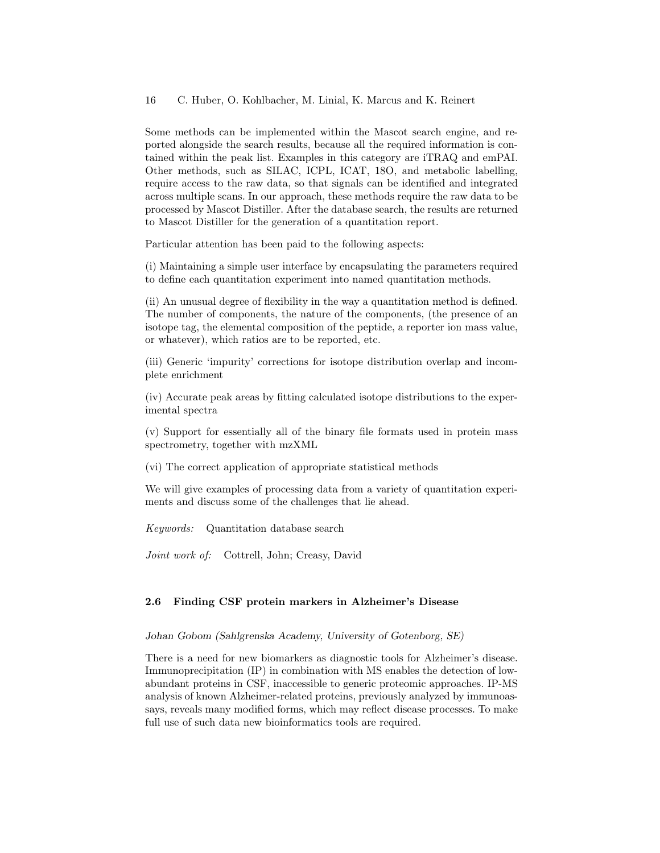Some methods can be implemented within the Mascot search engine, and reported alongside the search results, because all the required information is contained within the peak list. Examples in this category are iTRAQ and emPAI. Other methods, such as SILAC, ICPL, ICAT, 18O, and metabolic labelling, require access to the raw data, so that signals can be identified and integrated across multiple scans. In our approach, these methods require the raw data to be processed by Mascot Distiller. After the database search, the results are returned to Mascot Distiller for the generation of a quantitation report.

Particular attention has been paid to the following aspects:

(i) Maintaining a simple user interface by encapsulating the parameters required to define each quantitation experiment into named quantitation methods.

(ii) An unusual degree of flexibility in the way a quantitation method is defined. The number of components, the nature of the components, (the presence of an isotope tag, the elemental composition of the peptide, a reporter ion mass value, or whatever), which ratios are to be reported, etc.

(iii) Generic 'impurity' corrections for isotope distribution overlap and incomplete enrichment

(iv) Accurate peak areas by fitting calculated isotope distributions to the experimental spectra

(v) Support for essentially all of the binary file formats used in protein mass spectrometry, together with mzXML

(vi) The correct application of appropriate statistical methods

We will give examples of processing data from a variety of quantitation experiments and discuss some of the challenges that lie ahead.

Keywords: Quantitation database search

Joint work of: Cottrell, John; Creasy, David

### 2.6 Finding CSF protein markers in Alzheimer's Disease

#### Johan Gobom (Sahlgrenska Academy, University of Gotenborg, SE)

There is a need for new biomarkers as diagnostic tools for Alzheimer's disease. Immunoprecipitation (IP) in combination with MS enables the detection of lowabundant proteins in CSF, inaccessible to generic proteomic approaches. IP-MS analysis of known Alzheimer-related proteins, previously analyzed by immunoassays, reveals many modified forms, which may reflect disease processes. To make full use of such data new bioinformatics tools are required.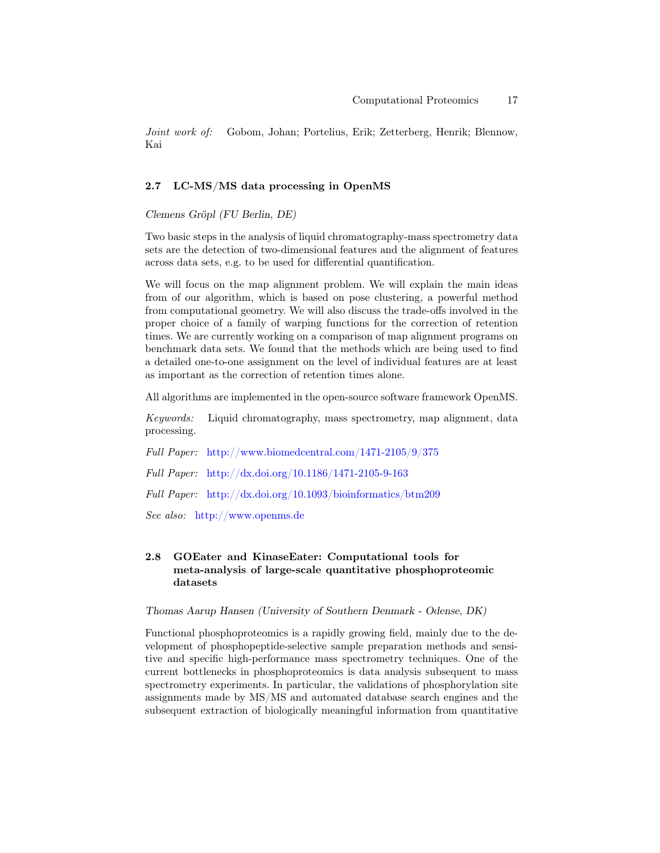Joint work of: Gobom, Johan; Portelius, Erik; Zetterberg, Henrik; Blennow, Kai

### 2.7 LC-MS/MS data processing in OpenMS

Clemens Gröpl (FU Berlin, DE)

Two basic steps in the analysis of liquid chromatography-mass spectrometry data sets are the detection of two-dimensional features and the alignment of features across data sets, e.g. to be used for differential quantification.

We will focus on the map alignment problem. We will explain the main ideas from of our algorithm, which is based on pose clustering, a powerful method from computational geometry. We will also discuss the trade-offs involved in the proper choice of a family of warping functions for the correction of retention times. We are currently working on a comparison of map alignment programs on benchmark data sets. We found that the methods which are being used to find a detailed one-to-one assignment on the level of individual features are at least as important as the correction of retention times alone.

All algorithms are implemented in the open-source software framework OpenMS.

Keywords: Liquid chromatography, mass spectrometry, map alignment, data processing.

Full Paper: <http://www.biomedcentral.com/1471-2105/9/375>

Full Paper: <http://dx.doi.org/10.1186/1471-2105-9-163>

Full Paper: <http://dx.doi.org/10.1093/bioinformatics/btm209>

See also: <http://www.openms.de>

# 2.8 GOEater and KinaseEater: Computational tools for meta-analysis of large-scale quantitative phosphoproteomic datasets

Thomas Aarup Hansen (University of Southern Denmark - Odense, DK)

Functional phosphoproteomics is a rapidly growing field, mainly due to the development of phosphopeptide-selective sample preparation methods and sensitive and specific high-performance mass spectrometry techniques. One of the current bottlenecks in phosphoproteomics is data analysis subsequent to mass spectrometry experiments. In particular, the validations of phosphorylation site assignments made by MS/MS and automated database search engines and the subsequent extraction of biologically meaningful information from quantitative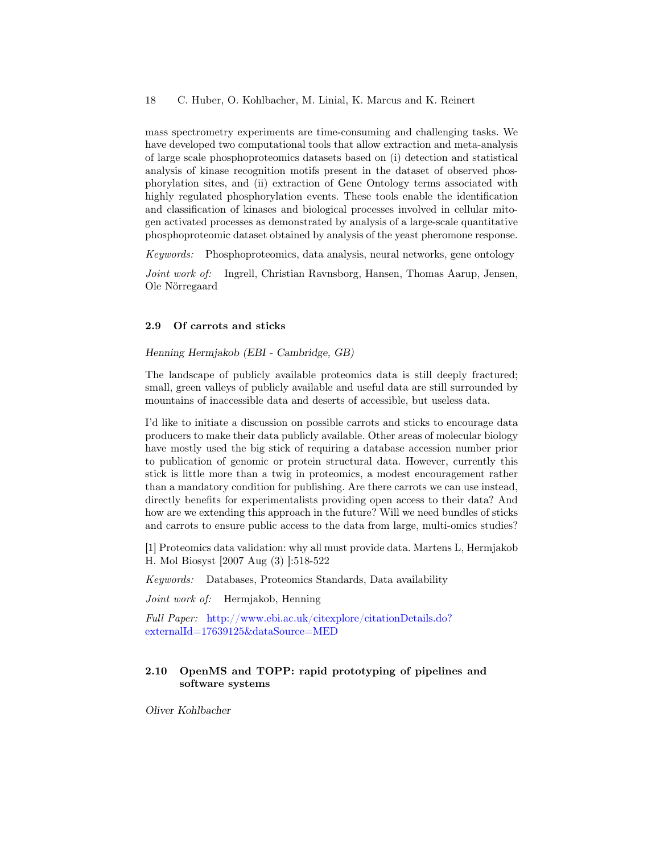mass spectrometry experiments are time-consuming and challenging tasks. We have developed two computational tools that allow extraction and meta-analysis of large scale phosphoproteomics datasets based on (i) detection and statistical analysis of kinase recognition motifs present in the dataset of observed phosphorylation sites, and (ii) extraction of Gene Ontology terms associated with highly regulated phosphorylation events. These tools enable the identification and classification of kinases and biological processes involved in cellular mitogen activated processes as demonstrated by analysis of a large-scale quantitative phosphoproteomic dataset obtained by analysis of the yeast pheromone response.

Keywords: Phosphoproteomics, data analysis, neural networks, gene ontology

Joint work of: Ingrell, Christian Ravnsborg, Hansen, Thomas Aarup, Jensen, Ole Nörregaard

### 2.9 Of carrots and sticks

Henning Hermjakob (EBI - Cambridge, GB)

The landscape of publicly available proteomics data is still deeply fractured; small, green valleys of publicly available and useful data are still surrounded by mountains of inaccessible data and deserts of accessible, but useless data.

I'd like to initiate a discussion on possible carrots and sticks to encourage data producers to make their data publicly available. Other areas of molecular biology have mostly used the big stick of requiring a database accession number prior to publication of genomic or protein structural data. However, currently this stick is little more than a twig in proteomics, a modest encouragement rather than a mandatory condition for publishing. Are there carrots we can use instead, directly benefits for experimentalists providing open access to their data? And how are we extending this approach in the future? Will we need bundles of sticks and carrots to ensure public access to the data from large, multi-omics studies?

[1] Proteomics data validation: why all must provide data. Martens L, Hermjakob H. Mol Biosyst [2007 Aug (3) ]:518-522

Keywords: Databases, Proteomics Standards, Data availability

Joint work of: Hermjakob, Henning

Full Paper: [http://www.ebi.ac.uk/citexplore/citationDetails.do?](http://www.ebi.ac.uk/citexplore/citationDetails.do?externalId=17639125&dataSource=MED) [externalId=17639125&dataSource=MED](http://www.ebi.ac.uk/citexplore/citationDetails.do?externalId=17639125&dataSource=MED)

# 2.10 OpenMS and TOPP: rapid prototyping of pipelines and software systems

Oliver Kohlbacher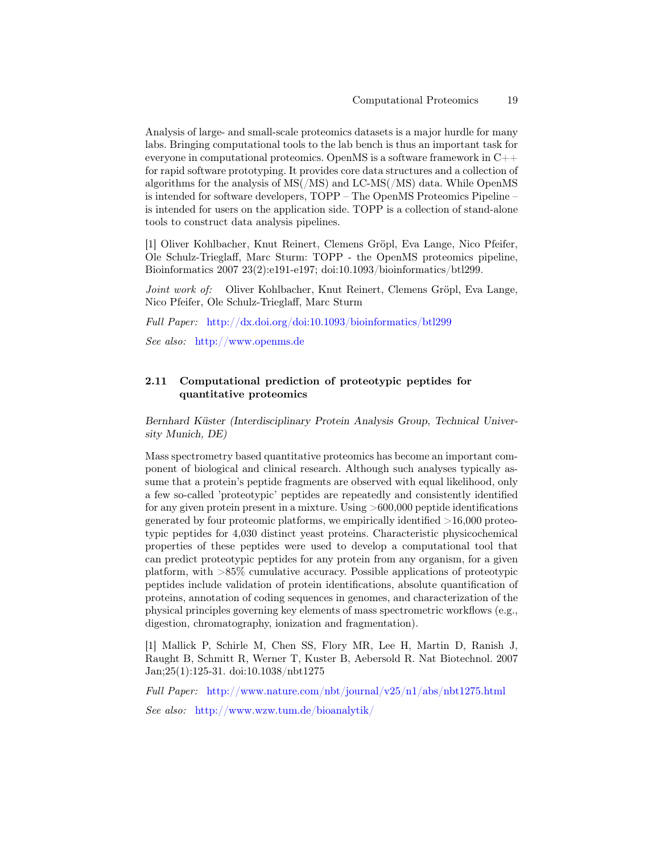Analysis of large- and small-scale proteomics datasets is a major hurdle for many labs. Bringing computational tools to the lab bench is thus an important task for everyone in computational proteomics. OpenMS is a software framework in C++ for rapid software prototyping. It provides core data structures and a collection of algorithms for the analysis of MS(/MS) and LC-MS(/MS) data. While OpenMS is intended for software developers, TOPP – The OpenMS Proteomics Pipeline – is intended for users on the application side. TOPP is a collection of stand-alone tools to construct data analysis pipelines.

[1] Oliver Kohlbacher, Knut Reinert, Clemens Gröpl, Eva Lange, Nico Pfeifer, Ole Schulz-Trieglaff, Marc Sturm: TOPP - the OpenMS proteomics pipeline, Bioinformatics 2007 23(2):e191-e197; doi:10.1093/bioinformatics/btl299.

Joint work of: Oliver Kohlbacher, Knut Reinert, Clemens Gröpl, Eva Lange, Nico Pfeifer, Ole Schulz-Trieglaff, Marc Sturm

Full Paper: <http://dx.doi.org/doi:10.1093/bioinformatics/btl299>

See also: <http://www.openms.de>

### 2.11 Computational prediction of proteotypic peptides for quantitative proteomics

Bernhard Küster (Interdisciplinary Protein Analysis Group, Technical University Munich, DE)

Mass spectrometry based quantitative proteomics has become an important component of biological and clinical research. Although such analyses typically assume that a protein's peptide fragments are observed with equal likelihood, only a few so-called 'proteotypic' peptides are repeatedly and consistently identified for any given protein present in a mixture. Using >600,000 peptide identifications generated by four proteomic platforms, we empirically identified  $>16,000$  proteotypic peptides for 4,030 distinct yeast proteins. Characteristic physicochemical properties of these peptides were used to develop a computational tool that can predict proteotypic peptides for any protein from any organism, for a given platform, with >85% cumulative accuracy. Possible applications of proteotypic peptides include validation of protein identifications, absolute quantification of proteins, annotation of coding sequences in genomes, and characterization of the physical principles governing key elements of mass spectrometric workflows (e.g., digestion, chromatography, ionization and fragmentation).

[1] Mallick P, Schirle M, Chen SS, Flory MR, Lee H, Martin D, Ranish J, Raught B, Schmitt R, Werner T, Kuster B, Aebersold R. Nat Biotechnol. 2007 Jan;25(1):125-31. doi:10.1038/nbt1275

Full Paper: <http://www.nature.com/nbt/journal/v25/n1/abs/nbt1275.html>

See also: <http://www.wzw.tum.de/bioanalytik/>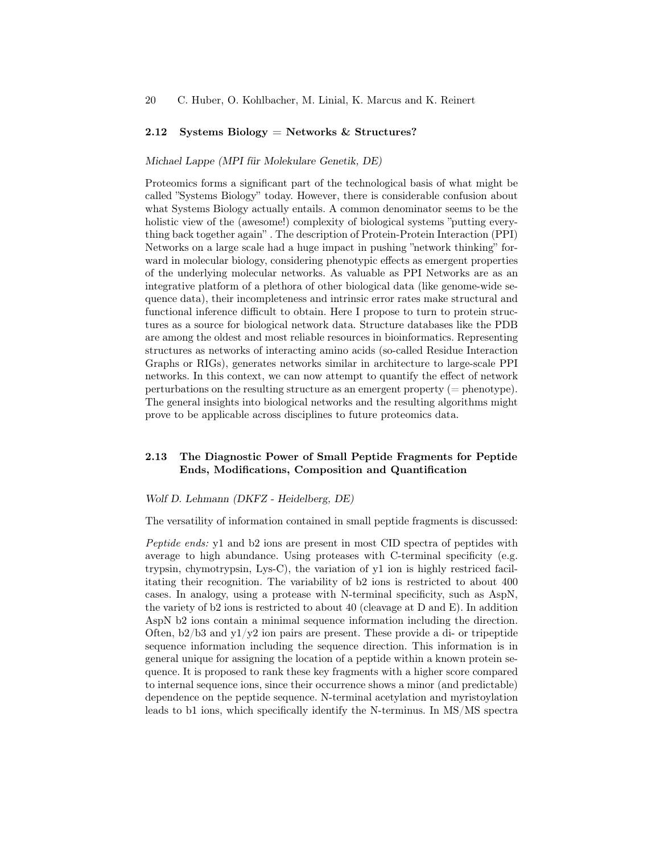#### 2.12 Systems Biology = Networks  $&$  Structures?

#### Michael Lappe (MPI für Molekulare Genetik, DE)

Proteomics forms a significant part of the technological basis of what might be called "Systems Biology" today. However, there is considerable confusion about what Systems Biology actually entails. A common denominator seems to be the holistic view of the (awesome!) complexity of biological systems "putting everything back together again" . The description of Protein-Protein Interaction (PPI) Networks on a large scale had a huge impact in pushing "network thinking" forward in molecular biology, considering phenotypic effects as emergent properties of the underlying molecular networks. As valuable as PPI Networks are as an integrative platform of a plethora of other biological data (like genome-wide sequence data), their incompleteness and intrinsic error rates make structural and functional inference difficult to obtain. Here I propose to turn to protein structures as a source for biological network data. Structure databases like the PDB are among the oldest and most reliable resources in bioinformatics. Representing structures as networks of interacting amino acids (so-called Residue Interaction Graphs or RIGs), generates networks similar in architecture to large-scale PPI networks. In this context, we can now attempt to quantify the effect of network perturbations on the resulting structure as an emergent property (= phenotype). The general insights into biological networks and the resulting algorithms might prove to be applicable across disciplines to future proteomics data.

# 2.13 The Diagnostic Power of Small Peptide Fragments for Peptide Ends, Modifications, Composition and Quantification

#### Wolf D. Lehmann (DKFZ - Heidelberg, DE)

The versatility of information contained in small peptide fragments is discussed:

Peptide ends: y1 and b2 ions are present in most CID spectra of peptides with average to high abundance. Using proteases with C-terminal specificity (e.g. trypsin, chymotrypsin, Lys-C), the variation of y1 ion is highly restriced facilitating their recognition. The variability of b2 ions is restricted to about 400 cases. In analogy, using a protease with N-terminal specificity, such as AspN, the variety of b2 ions is restricted to about 40 (cleavage at D and E). In addition AspN b2 ions contain a minimal sequence information including the direction. Often,  $b2/b3$  and  $y1/y2$  ion pairs are present. These provide a di- or tripeptide sequence information including the sequence direction. This information is in general unique for assigning the location of a peptide within a known protein sequence. It is proposed to rank these key fragments with a higher score compared to internal sequence ions, since their occurrence shows a minor (and predictable) dependence on the peptide sequence. N-terminal acetylation and myristoylation leads to b1 ions, which specifically identify the N-terminus. In MS/MS spectra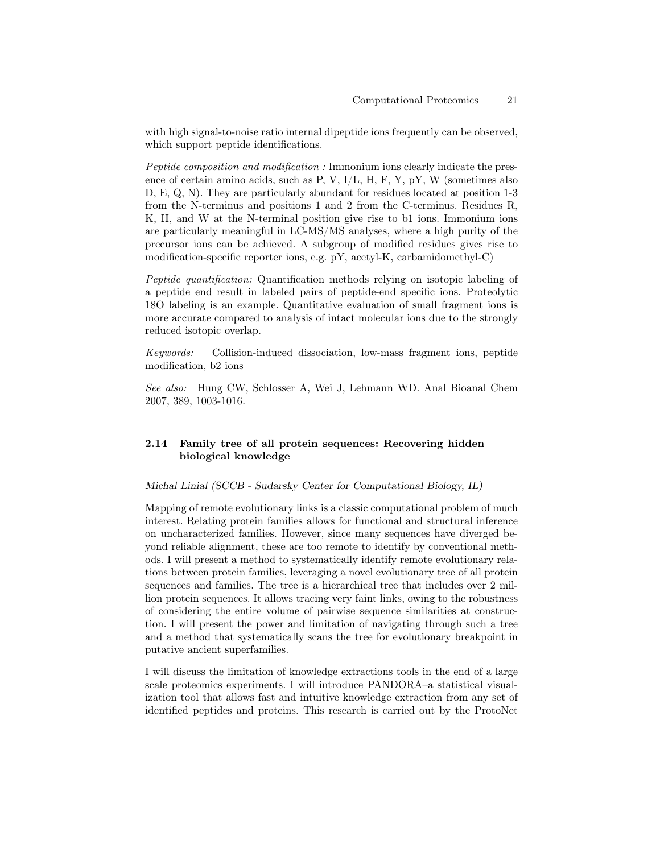with high signal-to-noise ratio internal dipeptide ions frequently can be observed, which support peptide identifications.

Peptide composition and modification : Immonium ions clearly indicate the presence of certain amino acids, such as P, V,  $I/L$ , H, F, Y, pY, W (sometimes also D, E, Q, N). They are particularly abundant for residues located at position 1-3 from the N-terminus and positions 1 and 2 from the C-terminus. Residues R, K, H, and W at the N-terminal position give rise to b1 ions. Immonium ions are particularly meaningful in LC-MS/MS analyses, where a high purity of the precursor ions can be achieved. A subgroup of modified residues gives rise to modification-specific reporter ions, e.g. pY, acetyl-K, carbamidomethyl-C)

Peptide quantification: Quantification methods relying on isotopic labeling of a peptide end result in labeled pairs of peptide-end specific ions. Proteolytic 18O labeling is an example. Quantitative evaluation of small fragment ions is more accurate compared to analysis of intact molecular ions due to the strongly reduced isotopic overlap.

Keywords: Collision-induced dissociation, low-mass fragment ions, peptide modification, b2 ions

See also: Hung CW, Schlosser A, Wei J, Lehmann WD. Anal Bioanal Chem 2007, 389, 1003-1016.

# 2.14 Family tree of all protein sequences: Recovering hidden biological knowledge

### Michal Linial (SCCB - Sudarsky Center for Computational Biology, IL)

Mapping of remote evolutionary links is a classic computational problem of much interest. Relating protein families allows for functional and structural inference on uncharacterized families. However, since many sequences have diverged beyond reliable alignment, these are too remote to identify by conventional methods. I will present a method to systematically identify remote evolutionary relations between protein families, leveraging a novel evolutionary tree of all protein sequences and families. The tree is a hierarchical tree that includes over 2 million protein sequences. It allows tracing very faint links, owing to the robustness of considering the entire volume of pairwise sequence similarities at construction. I will present the power and limitation of navigating through such a tree and a method that systematically scans the tree for evolutionary breakpoint in putative ancient superfamilies.

I will discuss the limitation of knowledge extractions tools in the end of a large scale proteomics experiments. I will introduce PANDORA–a statistical visualization tool that allows fast and intuitive knowledge extraction from any set of identified peptides and proteins. This research is carried out by the ProtoNet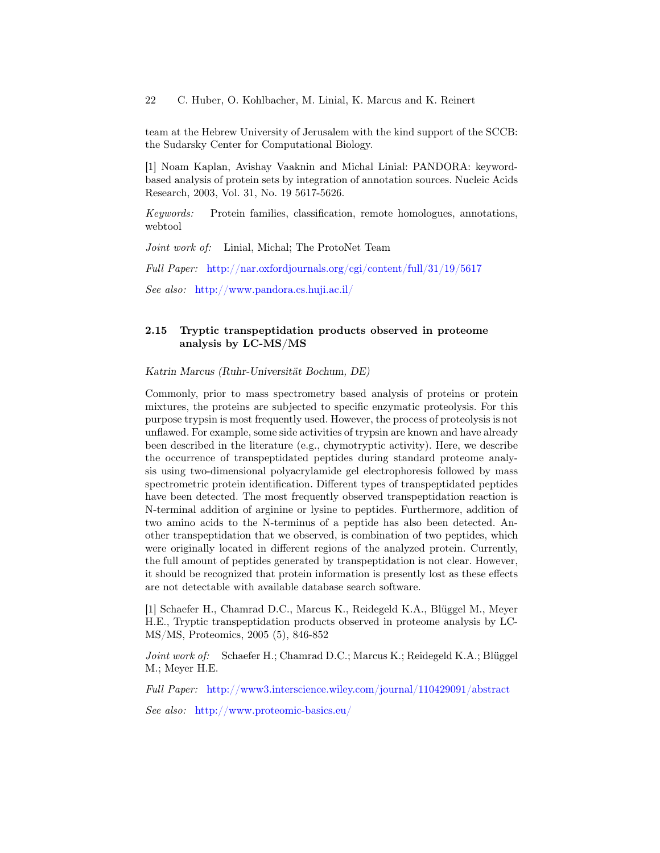team at the Hebrew University of Jerusalem with the kind support of the SCCB: the Sudarsky Center for Computational Biology.

[1] Noam Kaplan, Avishay Vaaknin and Michal Linial: PANDORA: keywordbased analysis of protein sets by integration of annotation sources. Nucleic Acids Research, 2003, Vol. 31, No. 19 5617-5626.

Keywords: Protein families, classification, remote homologues, annotations, webtool

Joint work of: Linial, Michal; The ProtoNet Team

Full Paper: <http://nar.oxfordjournals.org/cgi/content/full/31/19/5617>

See also: <http://www.pandora.cs.huji.ac.il/>

# 2.15 Tryptic transpeptidation products observed in proteome analysis by LC-MS/MS

Katrin Marcus (Ruhr-Universität Bochum, DE)

Commonly, prior to mass spectrometry based analysis of proteins or protein mixtures, the proteins are subjected to specific enzymatic proteolysis. For this purpose trypsin is most frequently used. However, the process of proteolysis is not unflawed. For example, some side activities of trypsin are known and have already been described in the literature (e.g., chymotryptic activity). Here, we describe the occurrence of transpeptidated peptides during standard proteome analysis using two-dimensional polyacrylamide gel electrophoresis followed by mass spectrometric protein identification. Different types of transpeptidated peptides have been detected. The most frequently observed transpeptidation reaction is N-terminal addition of arginine or lysine to peptides. Furthermore, addition of two amino acids to the N-terminus of a peptide has also been detected. Another transpeptidation that we observed, is combination of two peptides, which were originally located in different regions of the analyzed protein. Currently, the full amount of peptides generated by transpeptidation is not clear. However, it should be recognized that protein information is presently lost as these effects are not detectable with available database search software.

[1] Schaefer H., Chamrad D.C., Marcus K., Reidegeld K.A., Blüggel M., Meyer H.E., Tryptic transpeptidation products observed in proteome analysis by LC-MS/MS, Proteomics, 2005 (5), 846-852

Joint work of: Schaefer H.; Chamrad D.C.; Marcus K.; Reidegeld K.A.; Blüggel M.; Meyer H.E.

Full Paper: <http://www3.interscience.wiley.com/journal/110429091/abstract>

See also: <http://www.proteomic-basics.eu/>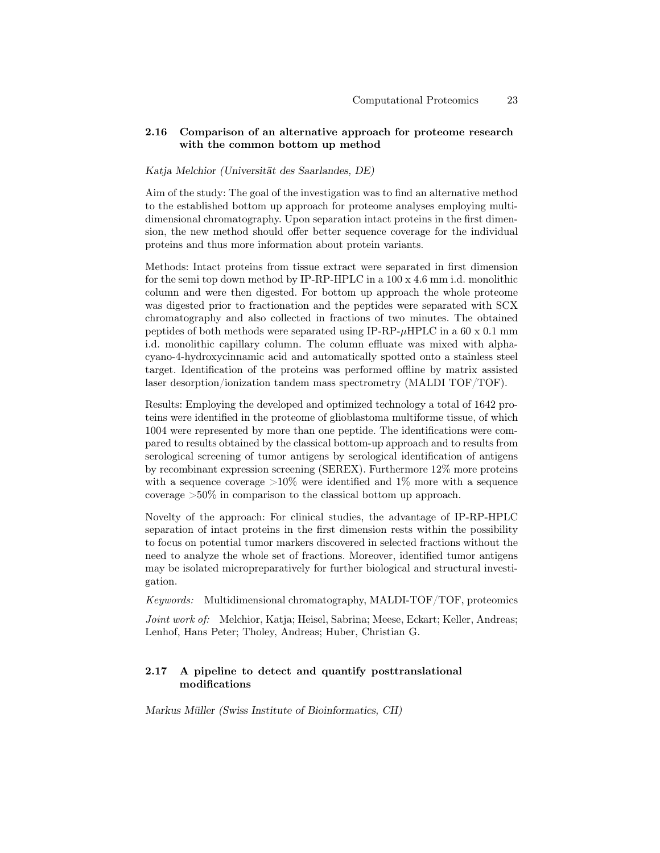# 2.16 Comparison of an alternative approach for proteome research with the common bottom up method

### Katja Melchior (Universität des Saarlandes, DE)

Aim of the study: The goal of the investigation was to find an alternative method to the established bottom up approach for proteome analyses employing multidimensional chromatography. Upon separation intact proteins in the first dimension, the new method should offer better sequence coverage for the individual proteins and thus more information about protein variants.

Methods: Intact proteins from tissue extract were separated in first dimension for the semi top down method by IP-RP-HPLC in a 100 x 4.6 mm i.d. monolithic column and were then digested. For bottom up approach the whole proteome was digested prior to fractionation and the peptides were separated with SCX chromatography and also collected in fractions of two minutes. The obtained peptides of both methods were separated using  $IP-RP-\mu HPLC$  in a 60 x 0.1 mm i.d. monolithic capillary column. The column effluate was mixed with alphacyano-4-hydroxycinnamic acid and automatically spotted onto a stainless steel target. Identification of the proteins was performed offline by matrix assisted laser desorption/ionization tandem mass spectrometry (MALDI TOF/TOF).

Results: Employing the developed and optimized technology a total of 1642 proteins were identified in the proteome of glioblastoma multiforme tissue, of which 1004 were represented by more than one peptide. The identifications were compared to results obtained by the classical bottom-up approach and to results from serological screening of tumor antigens by serological identification of antigens by recombinant expression screening (SEREX). Furthermore 12% more proteins with a sequence coverage  $>10\%$  were identified and 1% more with a sequence coverage >50% in comparison to the classical bottom up approach.

Novelty of the approach: For clinical studies, the advantage of IP-RP-HPLC separation of intact proteins in the first dimension rests within the possibility to focus on potential tumor markers discovered in selected fractions without the need to analyze the whole set of fractions. Moreover, identified tumor antigens may be isolated micropreparatively for further biological and structural investigation.

Keywords: Multidimensional chromatography, MALDI-TOF/TOF, proteomics

Joint work of: Melchior, Katja; Heisel, Sabrina; Meese, Eckart; Keller, Andreas; Lenhof, Hans Peter; Tholey, Andreas; Huber, Christian G.

### 2.17 A pipeline to detect and quantify posttranslational modifications

Markus Müller (Swiss Institute of Bioinformatics, CH)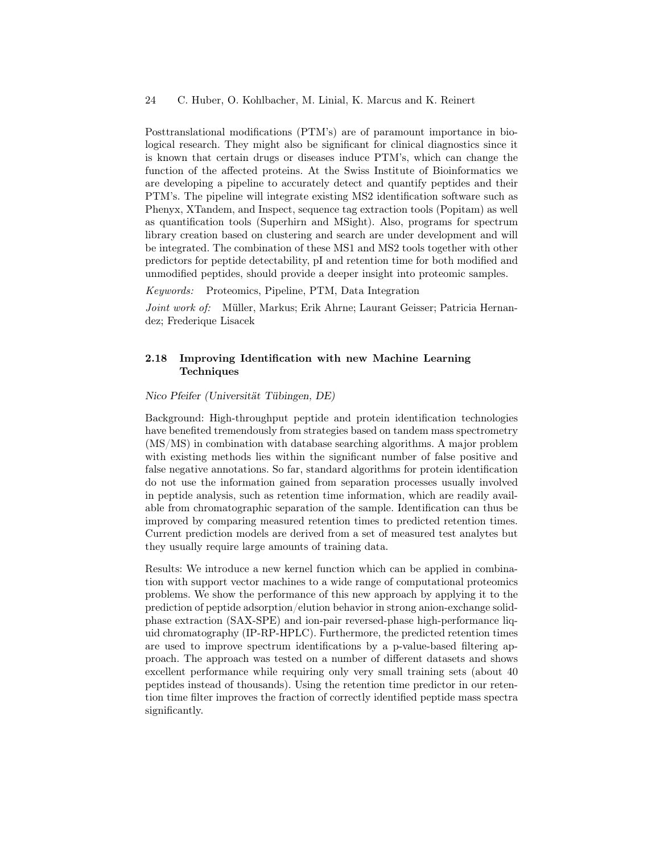Posttranslational modifications (PTM's) are of paramount importance in biological research. They might also be significant for clinical diagnostics since it is known that certain drugs or diseases induce PTM's, which can change the function of the affected proteins. At the Swiss Institute of Bioinformatics we are developing a pipeline to accurately detect and quantify peptides and their PTM's. The pipeline will integrate existing MS2 identification software such as Phenyx, XTandem, and Inspect, sequence tag extraction tools (Popitam) as well as quantification tools (Superhirn and MSight). Also, programs for spectrum library creation based on clustering and search are under development and will be integrated. The combination of these MS1 and MS2 tools together with other predictors for peptide detectability, pI and retention time for both modified and unmodified peptides, should provide a deeper insight into proteomic samples.

Keywords: Proteomics, Pipeline, PTM, Data Integration

Joint work of: Müller, Markus; Erik Ahrne; Laurant Geisser; Patricia Hernandez; Frederique Lisacek

# 2.18 Improving Identification with new Machine Learning **Techniques**

#### Nico Pfeifer (Universität Tübingen, DE)

Background: High-throughput peptide and protein identification technologies have benefited tremendously from strategies based on tandem mass spectrometry (MS/MS) in combination with database searching algorithms. A major problem with existing methods lies within the significant number of false positive and false negative annotations. So far, standard algorithms for protein identification do not use the information gained from separation processes usually involved in peptide analysis, such as retention time information, which are readily available from chromatographic separation of the sample. Identification can thus be improved by comparing measured retention times to predicted retention times. Current prediction models are derived from a set of measured test analytes but they usually require large amounts of training data.

Results: We introduce a new kernel function which can be applied in combination with support vector machines to a wide range of computational proteomics problems. We show the performance of this new approach by applying it to the prediction of peptide adsorption/elution behavior in strong anion-exchange solidphase extraction (SAX-SPE) and ion-pair reversed-phase high-performance liquid chromatography (IP-RP-HPLC). Furthermore, the predicted retention times are used to improve spectrum identifications by a p-value-based filtering approach. The approach was tested on a number of different datasets and shows excellent performance while requiring only very small training sets (about 40 peptides instead of thousands). Using the retention time predictor in our retention time filter improves the fraction of correctly identified peptide mass spectra significantly.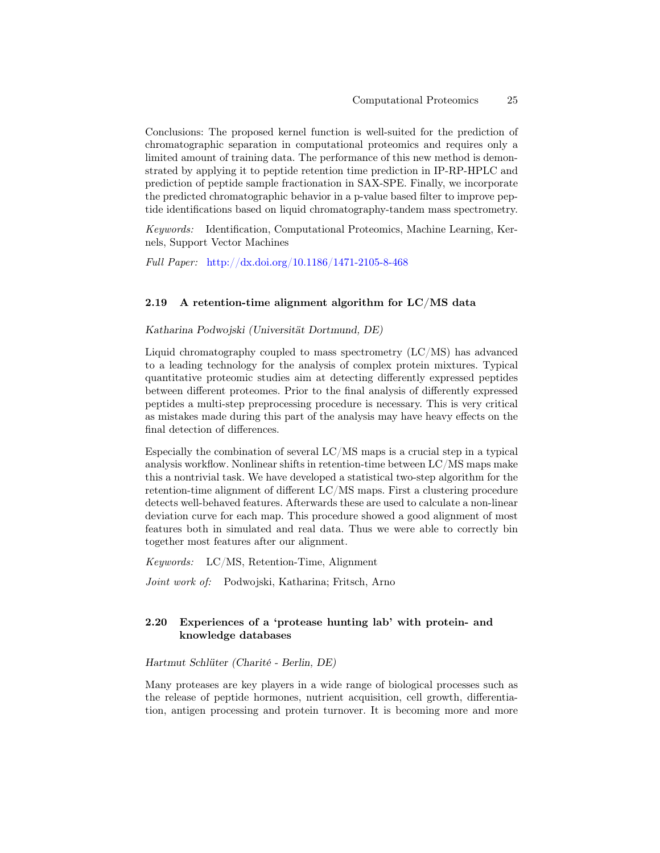Conclusions: The proposed kernel function is well-suited for the prediction of chromatographic separation in computational proteomics and requires only a limited amount of training data. The performance of this new method is demonstrated by applying it to peptide retention time prediction in IP-RP-HPLC and prediction of peptide sample fractionation in SAX-SPE. Finally, we incorporate the predicted chromatographic behavior in a p-value based filter to improve peptide identifications based on liquid chromatography-tandem mass spectrometry.

Keywords: Identification, Computational Proteomics, Machine Learning, Kernels, Support Vector Machines

Full Paper: <http://dx.doi.org/10.1186/1471-2105-8-468>

### 2.19 A retention-time alignment algorithm for LC/MS data

#### Katharina Podwojski (Universität Dortmund, DE)

Liquid chromatography coupled to mass spectrometry  $(LC/MS)$  has advanced to a leading technology for the analysis of complex protein mixtures. Typical quantitative proteomic studies aim at detecting differently expressed peptides between different proteomes. Prior to the final analysis of differently expressed peptides a multi-step preprocessing procedure is necessary. This is very critical as mistakes made during this part of the analysis may have heavy effects on the final detection of differences.

Especially the combination of several LC/MS maps is a crucial step in a typical analysis workflow. Nonlinear shifts in retention-time between LC/MS maps make this a nontrivial task. We have developed a statistical two-step algorithm for the retention-time alignment of different LC/MS maps. First a clustering procedure detects well-behaved features. Afterwards these are used to calculate a non-linear deviation curve for each map. This procedure showed a good alignment of most features both in simulated and real data. Thus we were able to correctly bin together most features after our alignment.

Keywords: LC/MS, Retention-Time, Alignment

Joint work of: Podwojski, Katharina; Fritsch, Arno

# 2.20 Experiences of a 'protease hunting lab' with protein- and knowledge databases

# Hartmut Schlüter (Charité - Berlin, DE)

Many proteases are key players in a wide range of biological processes such as the release of peptide hormones, nutrient acquisition, cell growth, differentiation, antigen processing and protein turnover. It is becoming more and more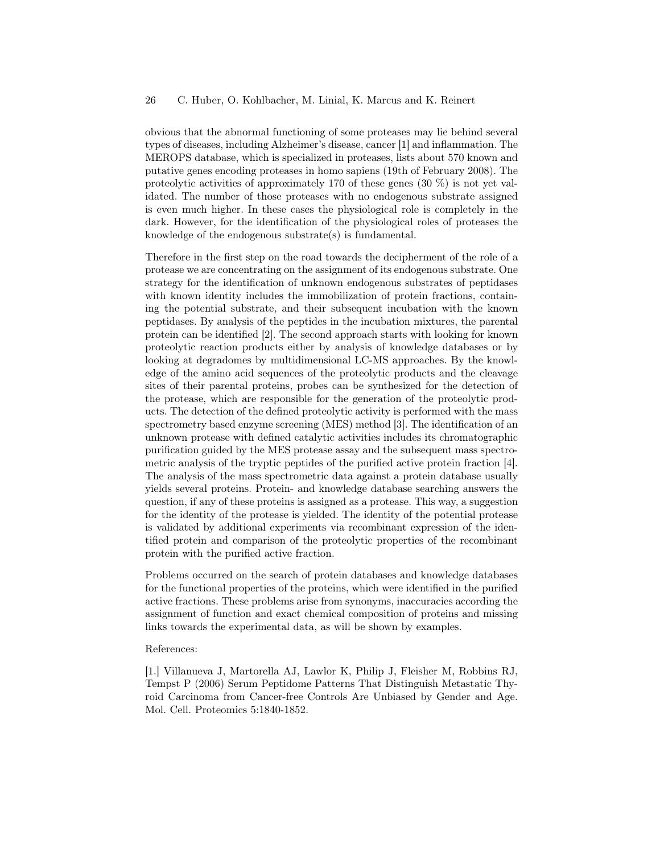obvious that the abnormal functioning of some proteases may lie behind several types of diseases, including Alzheimer's disease, cancer [1] and inflammation. The MEROPS database, which is specialized in proteases, lists about 570 known and putative genes encoding proteases in homo sapiens (19th of February 2008). The proteolytic activities of approximately 170 of these genes (30 %) is not yet validated. The number of those proteases with no endogenous substrate assigned is even much higher. In these cases the physiological role is completely in the dark. However, for the identification of the physiological roles of proteases the knowledge of the endogenous substrate(s) is fundamental.

Therefore in the first step on the road towards the decipherment of the role of a protease we are concentrating on the assignment of its endogenous substrate. One strategy for the identification of unknown endogenous substrates of peptidases with known identity includes the immobilization of protein fractions, containing the potential substrate, and their subsequent incubation with the known peptidases. By analysis of the peptides in the incubation mixtures, the parental protein can be identified [2]. The second approach starts with looking for known proteolytic reaction products either by analysis of knowledge databases or by looking at degradomes by multidimensional LC-MS approaches. By the knowledge of the amino acid sequences of the proteolytic products and the cleavage sites of their parental proteins, probes can be synthesized for the detection of the protease, which are responsible for the generation of the proteolytic products. The detection of the defined proteolytic activity is performed with the mass spectrometry based enzyme screening (MES) method [3]. The identification of an unknown protease with defined catalytic activities includes its chromatographic purification guided by the MES protease assay and the subsequent mass spectrometric analysis of the tryptic peptides of the purified active protein fraction [4]. The analysis of the mass spectrometric data against a protein database usually yields several proteins. Protein- and knowledge database searching answers the question, if any of these proteins is assigned as a protease. This way, a suggestion for the identity of the protease is yielded. The identity of the potential protease is validated by additional experiments via recombinant expression of the identified protein and comparison of the proteolytic properties of the recombinant protein with the purified active fraction.

Problems occurred on the search of protein databases and knowledge databases for the functional properties of the proteins, which were identified in the purified active fractions. These problems arise from synonyms, inaccuracies according the assignment of function and exact chemical composition of proteins and missing links towards the experimental data, as will be shown by examples.

#### References:

[1.] Villanueva J, Martorella AJ, Lawlor K, Philip J, Fleisher M, Robbins RJ, Tempst P (2006) Serum Peptidome Patterns That Distinguish Metastatic Thyroid Carcinoma from Cancer-free Controls Are Unbiased by Gender and Age. Mol. Cell. Proteomics 5:1840-1852.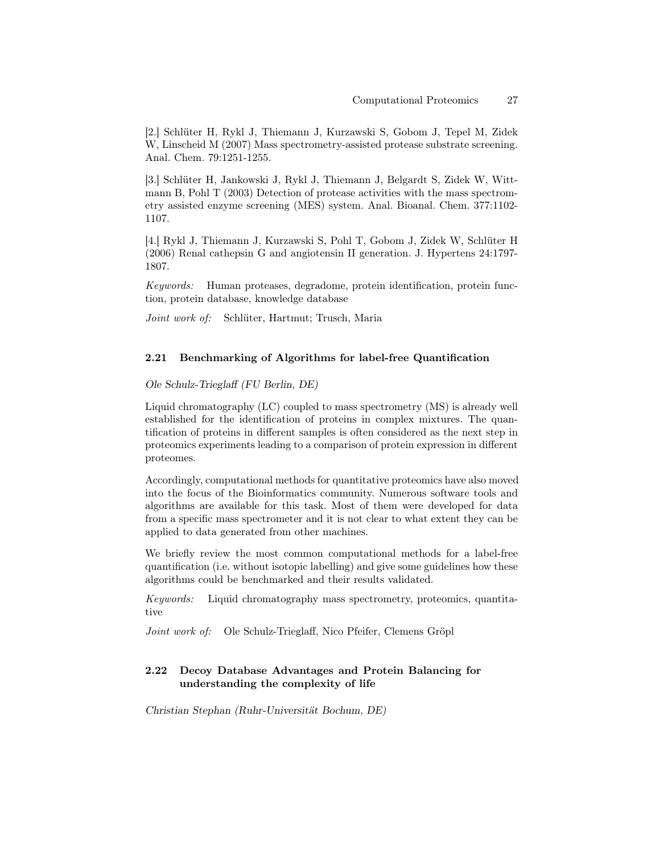[2.] Schlüter H, Rykl J, Thiemann J, Kurzawski S, Gobom J, Tepel M, Zidek W, Linscheid M (2007) Mass spectrometry-assisted protease substrate screening. Anal. Chem. 79:1251-1255.

[3.] Schlüter H, Jankowski J, Rykl J, Thiemann J, Belgardt S, Zidek W, Wittmann B, Pohl T (2003) Detection of protease activities with the mass spectrometry assisted enzyme screening (MES) system. Anal. Bioanal. Chem. 377:1102- 1107.

[4.] Rykl J, Thiemann J, Kurzawski S, Pohl T, Gobom J, Zidek W, Schlüter H (2006) Renal cathepsin G and angiotensin II generation. J. Hypertens 24:1797- 1807.

Keywords: Human proteases, degradome, protein identification, protein function, protein database, knowledge database

Joint work of: Schlüter, Hartmut; Trusch, Maria

### 2.21 Benchmarking of Algorithms for label-free Quantification

Ole Schulz-Trieglaff (FU Berlin, DE)

Liquid chromatography (LC) coupled to mass spectrometry (MS) is already well established for the identification of proteins in complex mixtures. The quantification of proteins in different samples is often considered as the next step in proteomics experiments leading to a comparison of protein expression in different proteomes.

Accordingly, computational methods for quantitative proteomics have also moved into the focus of the Bioinformatics community. Numerous software tools and algorithms are available for this task. Most of them were developed for data from a specific mass spectrometer and it is not clear to what extent they can be applied to data generated from other machines.

We briefly review the most common computational methods for a label-free quantification (i.e. without isotopic labelling) and give some guidelines how these algorithms could be benchmarked and their results validated.

Keywords: Liquid chromatography mass spectrometry, proteomics, quantitative

Joint work of: Ole Schulz-Trieglaff, Nico Pfeifer, Clemens Gröpl

# 2.22 Decoy Database Advantages and Protein Balancing for understanding the complexity of life

Christian Stephan (Ruhr-Universität Bochum, DE)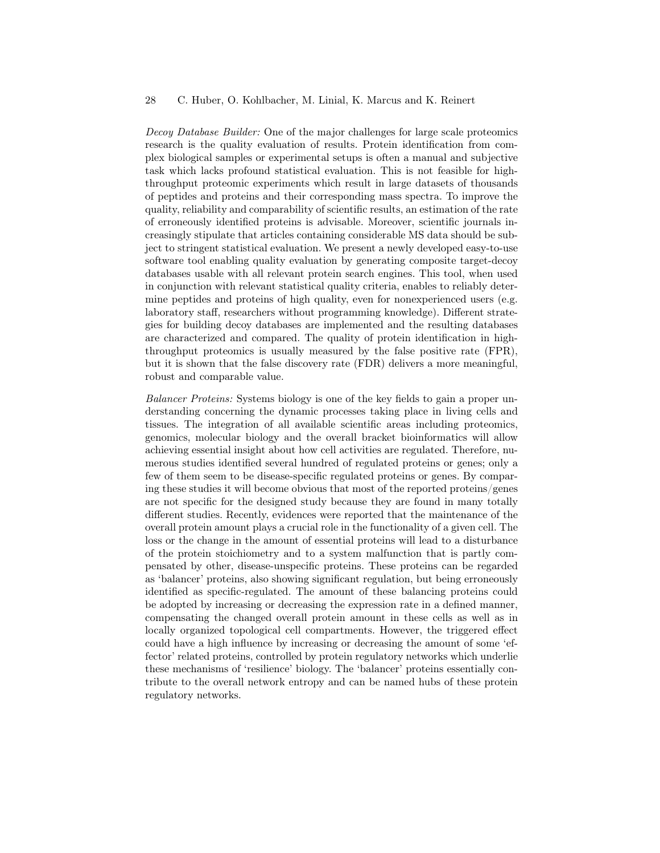Decoy Database Builder: One of the major challenges for large scale proteomics research is the quality evaluation of results. Protein identification from complex biological samples or experimental setups is often a manual and subjective task which lacks profound statistical evaluation. This is not feasible for highthroughput proteomic experiments which result in large datasets of thousands of peptides and proteins and their corresponding mass spectra. To improve the quality, reliability and comparability of scientific results, an estimation of the rate of erroneously identified proteins is advisable. Moreover, scientific journals increasingly stipulate that articles containing considerable MS data should be subject to stringent statistical evaluation. We present a newly developed easy-to-use software tool enabling quality evaluation by generating composite target-decoy databases usable with all relevant protein search engines. This tool, when used in conjunction with relevant statistical quality criteria, enables to reliably determine peptides and proteins of high quality, even for nonexperienced users (e.g. laboratory staff, researchers without programming knowledge). Different strategies for building decoy databases are implemented and the resulting databases are characterized and compared. The quality of protein identification in highthroughput proteomics is usually measured by the false positive rate (FPR), but it is shown that the false discovery rate (FDR) delivers a more meaningful, robust and comparable value.

Balancer Proteins: Systems biology is one of the key fields to gain a proper understanding concerning the dynamic processes taking place in living cells and tissues. The integration of all available scientific areas including proteomics, genomics, molecular biology and the overall bracket bioinformatics will allow achieving essential insight about how cell activities are regulated. Therefore, numerous studies identified several hundred of regulated proteins or genes; only a few of them seem to be disease-specific regulated proteins or genes. By comparing these studies it will become obvious that most of the reported proteins/genes are not specific for the designed study because they are found in many totally different studies. Recently, evidences were reported that the maintenance of the overall protein amount plays a crucial role in the functionality of a given cell. The loss or the change in the amount of essential proteins will lead to a disturbance of the protein stoichiometry and to a system malfunction that is partly compensated by other, disease-unspecific proteins. These proteins can be regarded as 'balancer' proteins, also showing significant regulation, but being erroneously identified as specific-regulated. The amount of these balancing proteins could be adopted by increasing or decreasing the expression rate in a defined manner, compensating the changed overall protein amount in these cells as well as in locally organized topological cell compartments. However, the triggered effect could have a high influence by increasing or decreasing the amount of some 'effector' related proteins, controlled by protein regulatory networks which underlie these mechanisms of 'resilience' biology. The 'balancer' proteins essentially contribute to the overall network entropy and can be named hubs of these protein regulatory networks.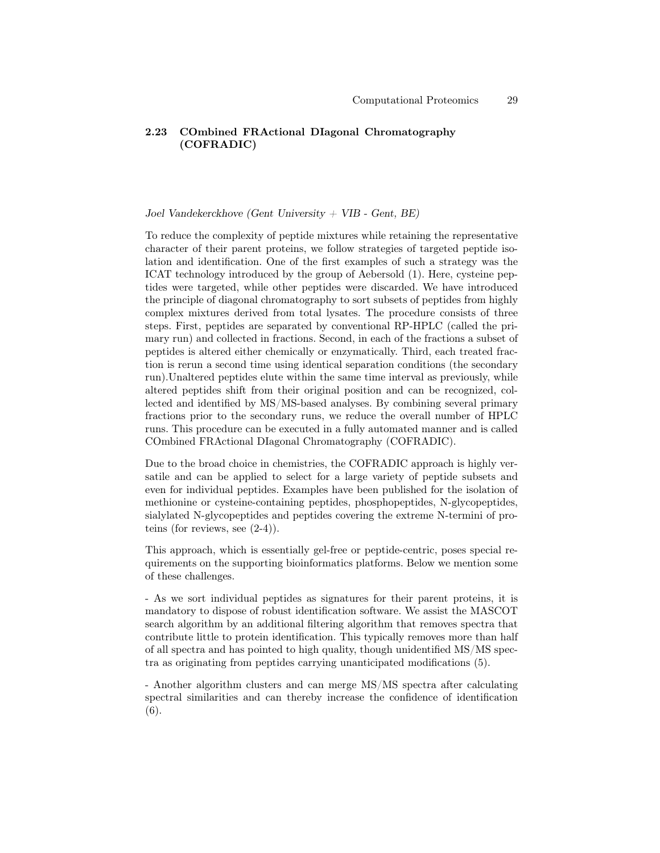# 2.23 COmbined FRActional DIagonal Chromatography (COFRADIC)

## Joel Vandekerckhove (Gent University + VIB - Gent, BE)

To reduce the complexity of peptide mixtures while retaining the representative character of their parent proteins, we follow strategies of targeted peptide isolation and identification. One of the first examples of such a strategy was the ICAT technology introduced by the group of Aebersold (1). Here, cysteine peptides were targeted, while other peptides were discarded. We have introduced the principle of diagonal chromatography to sort subsets of peptides from highly complex mixtures derived from total lysates. The procedure consists of three steps. First, peptides are separated by conventional RP-HPLC (called the primary run) and collected in fractions. Second, in each of the fractions a subset of peptides is altered either chemically or enzymatically. Third, each treated fraction is rerun a second time using identical separation conditions (the secondary run).Unaltered peptides elute within the same time interval as previously, while altered peptides shift from their original position and can be recognized, collected and identified by MS/MS-based analyses. By combining several primary fractions prior to the secondary runs, we reduce the overall number of HPLC runs. This procedure can be executed in a fully automated manner and is called COmbined FRActional DIagonal Chromatography (COFRADIC).

Due to the broad choice in chemistries, the COFRADIC approach is highly versatile and can be applied to select for a large variety of peptide subsets and even for individual peptides. Examples have been published for the isolation of methionine or cysteine-containing peptides, phosphopeptides, N-glycopeptides, sialylated N-glycopeptides and peptides covering the extreme N-termini of proteins (for reviews, see (2-4)).

This approach, which is essentially gel-free or peptide-centric, poses special requirements on the supporting bioinformatics platforms. Below we mention some of these challenges.

- As we sort individual peptides as signatures for their parent proteins, it is mandatory to dispose of robust identification software. We assist the MASCOT search algorithm by an additional filtering algorithm that removes spectra that contribute little to protein identification. This typically removes more than half of all spectra and has pointed to high quality, though unidentified MS/MS spectra as originating from peptides carrying unanticipated modifications (5).

- Another algorithm clusters and can merge MS/MS spectra after calculating spectral similarities and can thereby increase the confidence of identification (6).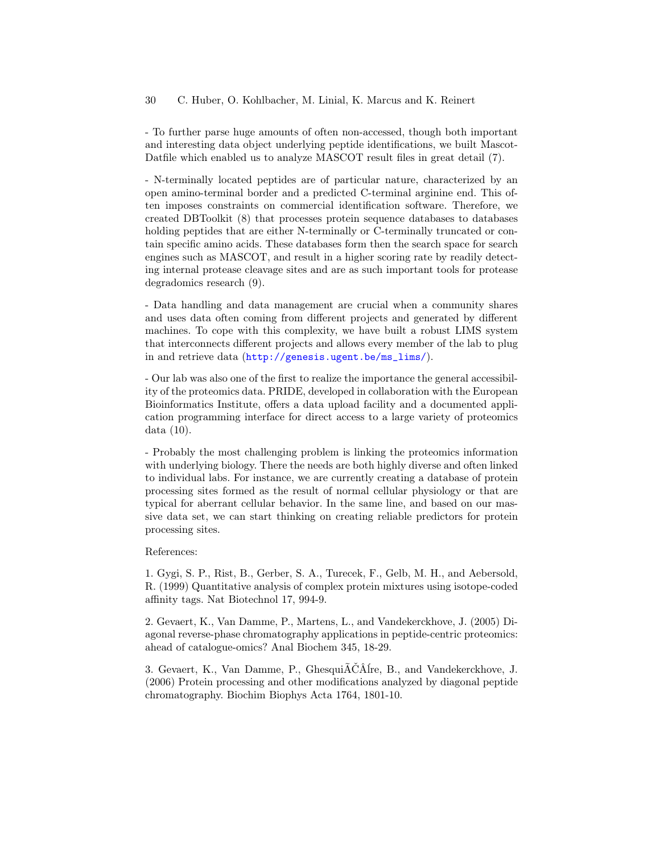- To further parse huge amounts of often non-accessed, though both important and interesting data object underlying peptide identifications, we built Mascot-Datfile which enabled us to analyze MASCOT result files in great detail (7).

- N-terminally located peptides are of particular nature, characterized by an open amino-terminal border and a predicted C-terminal arginine end. This often imposes constraints on commercial identification software. Therefore, we created DBToolkit (8) that processes protein sequence databases to databases holding peptides that are either N-terminally or C-terminally truncated or contain specific amino acids. These databases form then the search space for search engines such as MASCOT, and result in a higher scoring rate by readily detecting internal protease cleavage sites and are as such important tools for protease degradomics research (9).

- Data handling and data management are crucial when a community shares and uses data often coming from different projects and generated by different machines. To cope with this complexity, we have built a robust LIMS system that interconnects different projects and allows every member of the lab to plug in and retrieve data ([http://genesis.ugent.be/ms\\_lims/](http://genesis.ugent.be/ms_lims/)).

- Our lab was also one of the first to realize the importance the general accessibility of the proteomics data. PRIDE, developed in collaboration with the European Bioinformatics Institute, offers a data upload facility and a documented application programming interface for direct access to a large variety of proteomics data (10).

- Probably the most challenging problem is linking the proteomics information with underlying biology. There the needs are both highly diverse and often linked to individual labs. For instance, we are currently creating a database of protein processing sites formed as the result of normal cellular physiology or that are typical for aberrant cellular behavior. In the same line, and based on our massive data set, we can start thinking on creating reliable predictors for protein processing sites.

#### References:

1. Gygi, S. P., Rist, B., Gerber, S. A., Turecek, F., Gelb, M. H., and Aebersold, R. (1999) Quantitative analysis of complex protein mixtures using isotope-coded affinity tags. Nat Biotechnol 17, 994-9.

2. Gevaert, K., Van Damme, P., Martens, L., and Vandekerckhove, J. (2005) Diagonal reverse-phase chromatography applications in peptide-centric proteomics: ahead of catalogue-omics? Anal Biochem 345, 18-29.

3. Gevaert, K., Van Damme, P., GhesquiÃČÂĺre, B., and Vandekerckhove, J. (2006) Protein processing and other modifications analyzed by diagonal peptide chromatography. Biochim Biophys Acta 1764, 1801-10.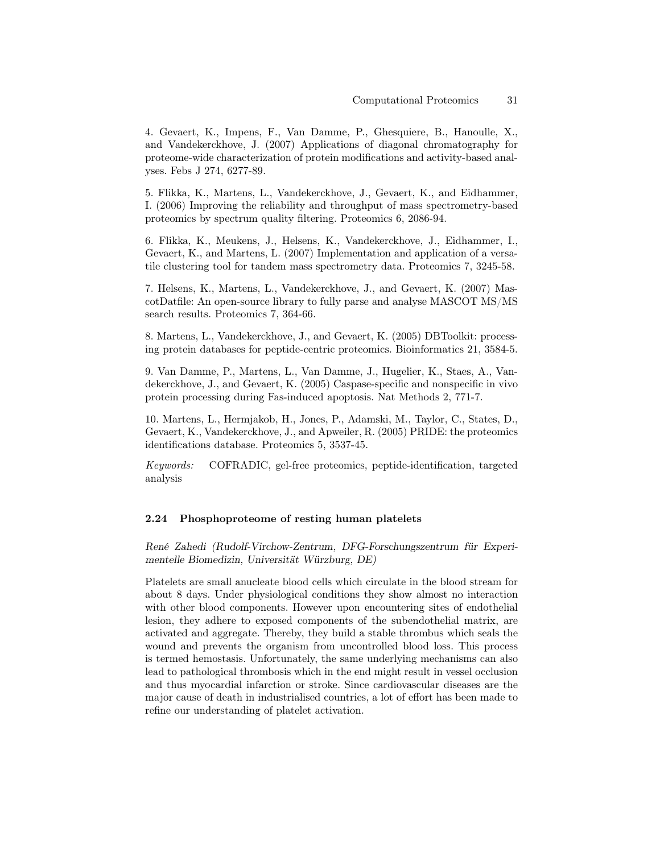4. Gevaert, K., Impens, F., Van Damme, P., Ghesquiere, B., Hanoulle, X., and Vandekerckhove, J. (2007) Applications of diagonal chromatography for proteome-wide characterization of protein modifications and activity-based analyses. Febs J 274, 6277-89.

5. Flikka, K., Martens, L., Vandekerckhove, J., Gevaert, K., and Eidhammer, I. (2006) Improving the reliability and throughput of mass spectrometry-based proteomics by spectrum quality filtering. Proteomics 6, 2086-94.

6. Flikka, K., Meukens, J., Helsens, K., Vandekerckhove, J., Eidhammer, I., Gevaert, K., and Martens, L. (2007) Implementation and application of a versatile clustering tool for tandem mass spectrometry data. Proteomics 7, 3245-58.

7. Helsens, K., Martens, L., Vandekerckhove, J., and Gevaert, K. (2007) MascotDatfile: An open-source library to fully parse and analyse MASCOT MS/MS search results. Proteomics 7, 364-66.

8. Martens, L., Vandekerckhove, J., and Gevaert, K. (2005) DBToolkit: processing protein databases for peptide-centric proteomics. Bioinformatics 21, 3584-5.

9. Van Damme, P., Martens, L., Van Damme, J., Hugelier, K., Staes, A., Vandekerckhove, J., and Gevaert, K. (2005) Caspase-specific and nonspecific in vivo protein processing during Fas-induced apoptosis. Nat Methods 2, 771-7.

10. Martens, L., Hermjakob, H., Jones, P., Adamski, M., Taylor, C., States, D., Gevaert, K., Vandekerckhove, J., and Apweiler, R. (2005) PRIDE: the proteomics identifications database. Proteomics 5, 3537-45.

Keywords: COFRADIC, gel-free proteomics, peptide-identification, targeted analysis

#### 2.24 Phosphoproteome of resting human platelets

René Zahedi (Rudolf-Virchow-Zentrum, DFG-Forschungszentrum für Experimentelle Biomedizin, Universität Würzburg, DE)

Platelets are small anucleate blood cells which circulate in the blood stream for about 8 days. Under physiological conditions they show almost no interaction with other blood components. However upon encountering sites of endothelial lesion, they adhere to exposed components of the subendothelial matrix, are activated and aggregate. Thereby, they build a stable thrombus which seals the wound and prevents the organism from uncontrolled blood loss. This process is termed hemostasis. Unfortunately, the same underlying mechanisms can also lead to pathological thrombosis which in the end might result in vessel occlusion and thus myocardial infarction or stroke. Since cardiovascular diseases are the major cause of death in industrialised countries, a lot of effort has been made to refine our understanding of platelet activation.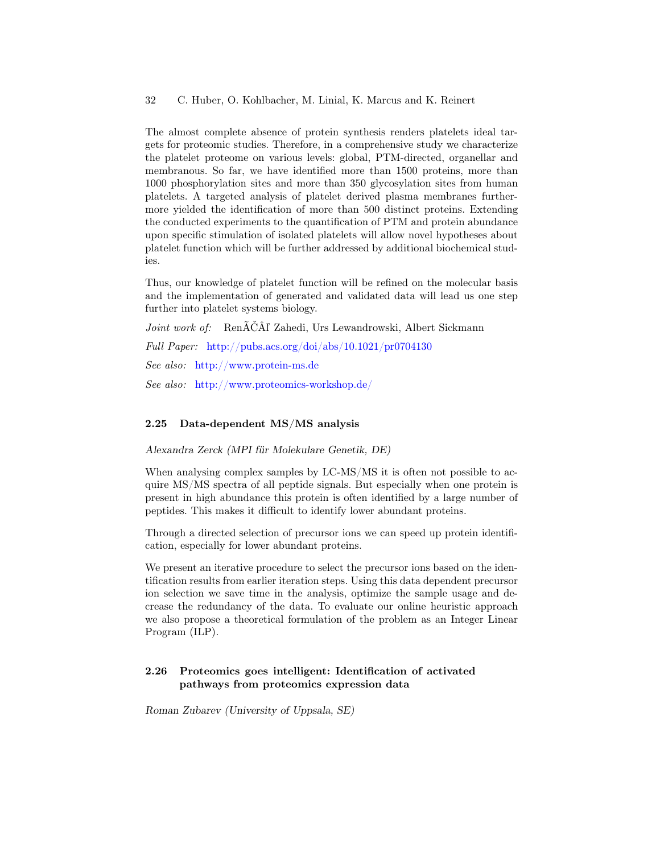The almost complete absence of protein synthesis renders platelets ideal targets for proteomic studies. Therefore, in a comprehensive study we characterize the platelet proteome on various levels: global, PTM-directed, organellar and membranous. So far, we have identified more than 1500 proteins, more than 1000 phosphorylation sites and more than 350 glycosylation sites from human platelets. A targeted analysis of platelet derived plasma membranes furthermore yielded the identification of more than 500 distinct proteins. Extending the conducted experiments to the quantification of PTM and protein abundance upon specific stimulation of isolated platelets will allow novel hypotheses about platelet function which will be further addressed by additional biochemical studies.

Thus, our knowledge of platelet function will be refined on the molecular basis and the implementation of generated and validated data will lead us one step further into platelet systems biology.

Joint work of: RenÃČÂľ Zahedi, Urs Lewandrowski, Albert Sickmann Full Paper: <http://pubs.acs.org/doi/abs/10.1021/pr0704130> See also: <http://www.protein-ms.de> See also: <http://www.proteomics-workshop.de/>

### 2.25 Data-dependent MS/MS analysis

Alexandra Zerck (MPI für Molekulare Genetik, DE)

When analysing complex samples by LC-MS/MS it is often not possible to acquire MS/MS spectra of all peptide signals. But especially when one protein is present in high abundance this protein is often identified by a large number of peptides. This makes it difficult to identify lower abundant proteins.

Through a directed selection of precursor ions we can speed up protein identification, especially for lower abundant proteins.

We present an iterative procedure to select the precursor ions based on the identification results from earlier iteration steps. Using this data dependent precursor ion selection we save time in the analysis, optimize the sample usage and decrease the redundancy of the data. To evaluate our online heuristic approach we also propose a theoretical formulation of the problem as an Integer Linear Program (ILP).

### 2.26 Proteomics goes intelligent: Identification of activated pathways from proteomics expression data

Roman Zubarev (University of Uppsala, SE)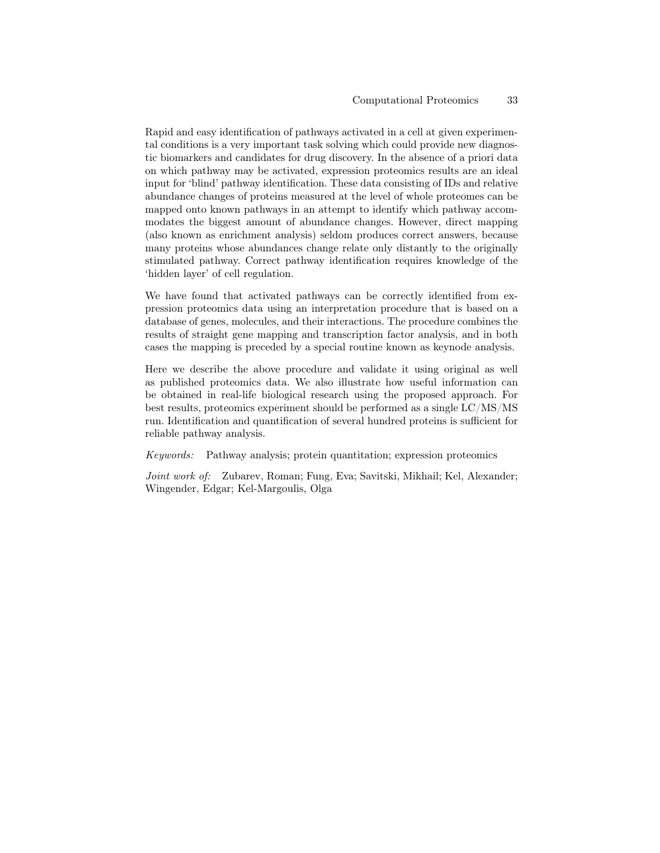Rapid and easy identification of pathways activated in a cell at given experimental conditions is a very important task solving which could provide new diagnostic biomarkers and candidates for drug discovery. In the absence of a priori data on which pathway may be activated, expression proteomics results are an ideal input for 'blind' pathway identification. These data consisting of IDs and relative abundance changes of proteins measured at the level of whole proteomes can be mapped onto known pathways in an attempt to identify which pathway accommodates the biggest amount of abundance changes. However, direct mapping (also known as enrichment analysis) seldom produces correct answers, because many proteins whose abundances change relate only distantly to the originally stimulated pathway. Correct pathway identification requires knowledge of the 'hidden layer' of cell regulation.

We have found that activated pathways can be correctly identified from expression proteomics data using an interpretation procedure that is based on a database of genes, molecules, and their interactions. The procedure combines the results of straight gene mapping and transcription factor analysis, and in both cases the mapping is preceded by a special routine known as keynode analysis.

Here we describe the above procedure and validate it using original as well as published proteomics data. We also illustrate how useful information can be obtained in real-life biological research using the proposed approach. For best results, proteomics experiment should be performed as a single LC/MS/MS run. Identification and quantification of several hundred proteins is sufficient for reliable pathway analysis.

Keywords: Pathway analysis; protein quantitation; expression proteomics

Joint work of: Zubarev, Roman; Fung, Eva; Savitski, Mikhail; Kel, Alexander; Wingender, Edgar; Kel-Margoulis, Olga